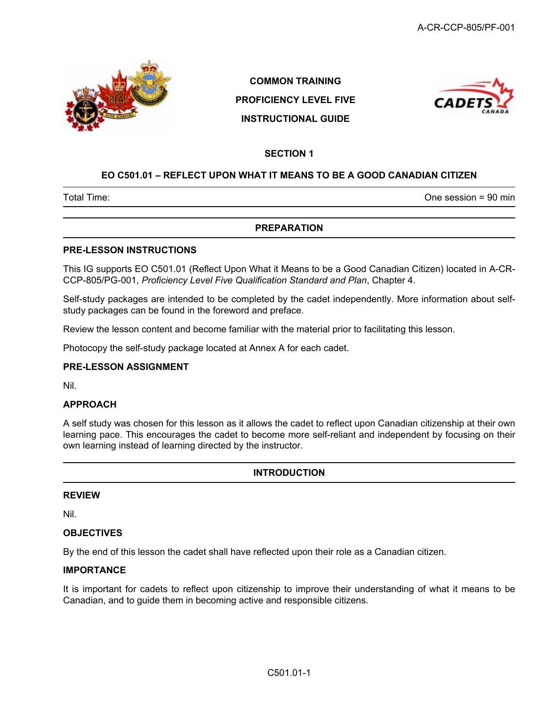

**COMMON TRAINING PROFICIENCY LEVEL FIVE INSTRUCTIONAL GUIDE**



#### **SECTION 1**

#### **EO C501.01 – REFLECT UPON WHAT IT MEANS TO BE A GOOD CANADIAN CITIZEN**

Total Time: One session = 90 min

#### **PREPARATION**

#### **PRE-LESSON INSTRUCTIONS**

This IG supports EO C501.01 (Reflect Upon What it Means to be a Good Canadian Citizen) located in A-CR-CCP-805/PG-001, *Proficiency Level Five Qualification Standard and Plan*, Chapter 4.

Self-study packages are intended to be completed by the cadet independently. More information about selfstudy packages can be found in the foreword and preface.

Review the lesson content and become familiar with the material prior to facilitating this lesson.

Photocopy the self-study package located at Annex A for each cadet.

#### **PRE-LESSON ASSIGNMENT**

Nil.

#### **APPROACH**

A self study was chosen for this lesson as it allows the cadet to reflect upon Canadian citizenship at their own learning pace. This encourages the cadet to become more self-reliant and independent by focusing on their own learning instead of learning directed by the instructor.

#### **INTRODUCTION**

#### **REVIEW**

Nil.

#### **OBJECTIVES**

By the end of this lesson the cadet shall have reflected upon their role as a Canadian citizen.

#### **IMPORTANCE**

It is important for cadets to reflect upon citizenship to improve their understanding of what it means to be Canadian, and to guide them in becoming active and responsible citizens.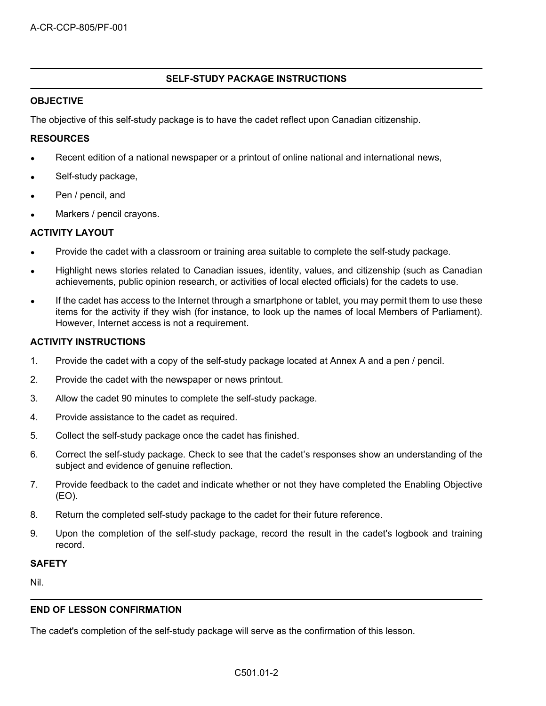#### **SELF-STUDY PACKAGE INSTRUCTIONS**

#### **OBJECTIVE**

The objective of this self-study package is to have the cadet reflect upon Canadian citizenship.

#### **RESOURCES**

- Recent edition of a national newspaper or a printout of online national and international news,  $\bullet$
- Self-study package,
- Pen / pencil, and
- Markers / pencil crayons.

#### **ACTIVITY LAYOUT**

- Provide the cadet with a classroom or training area suitable to complete the self-study package.
- Highlight news stories related to Canadian issues, identity, values, and citizenship (such as Canadian achievements, public opinion research, or activities of local elected officials) for the cadets to use.
- If the cadet has access to the Internet through a smartphone or tablet, you may permit them to use these items for the activity if they wish (for instance, to look up the names of local Members of Parliament). However, Internet access is not a requirement.

#### **ACTIVITY INSTRUCTIONS**

- 1. Provide the cadet with a copy of the self-study package located at Annex A and a pen / pencil.
- 2. Provide the cadet with the newspaper or news printout.
- 3. Allow the cadet 90 minutes to complete the self-study package.
- 4. Provide assistance to the cadet as required.
- 5. Collect the self-study package once the cadet has finished.
- 6. Correct the self-study package. Check to see that the cadet's responses show an understanding of the subject and evidence of genuine reflection.
- 7. Provide feedback to the cadet and indicate whether or not they have completed the Enabling Objective (EO).
- 8. Return the completed self-study package to the cadet for their future reference.
- 9. Upon the completion of the self-study package, record the result in the cadet's logbook and training record.

#### **SAFETY**

Nil.

#### **END OF LESSON CONFIRMATION**

The cadet's completion of the self-study package will serve as the confirmation of this lesson.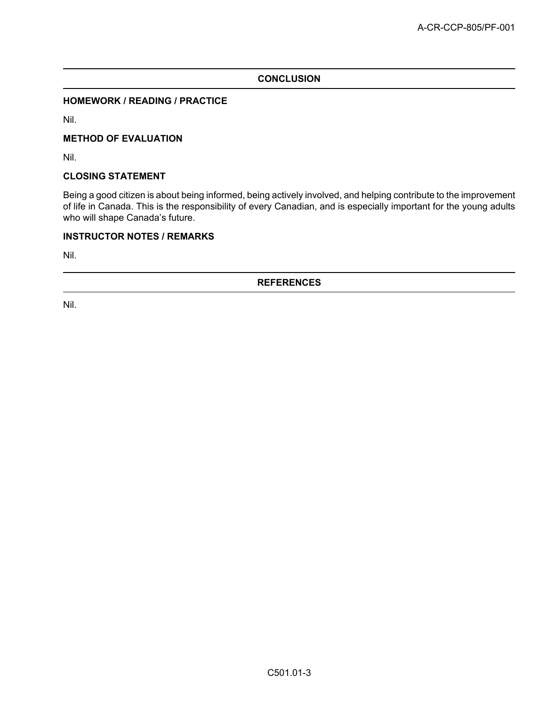#### **CONCLUSION**

#### **HOMEWORK / READING / PRACTICE**

Nil.

#### **METHOD OF EVALUATION**

Nil.

#### **CLOSING STATEMENT**

Being a good citizen is about being informed, being actively involved, and helping contribute to the improvement of life in Canada. This is the responsibility of every Canadian, and is especially important for the young adults who will shape Canada's future.

#### **INSTRUCTOR NOTES / REMARKS**

Nil.

#### **REFERENCES**

Nil.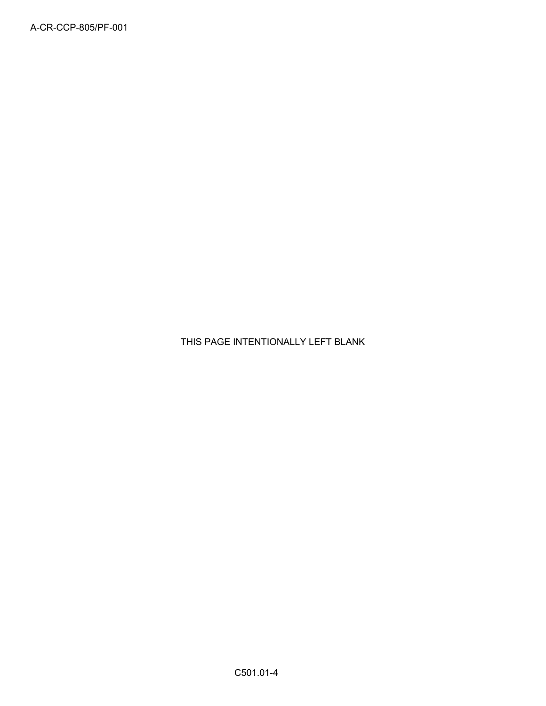THIS PAGE INTENTIONALLY LEFT BLANK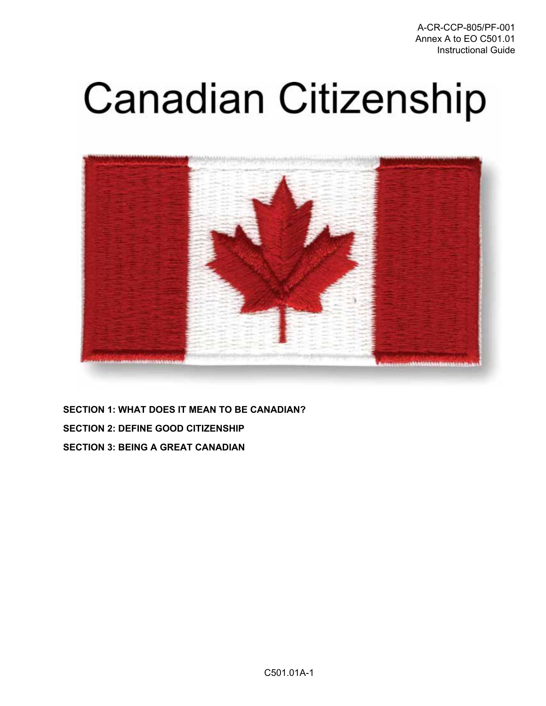A-CR-CCP-805/PF-001 Annex A to EO C501.01 Instructional Guide

# **Canadian Citizenship**



**SECTION 1: WHAT DOES IT MEAN TO BE CANADIAN? SECTION 2: DEFINE GOOD CITIZENSHIP SECTION 3: BEING A GREAT CANADIAN**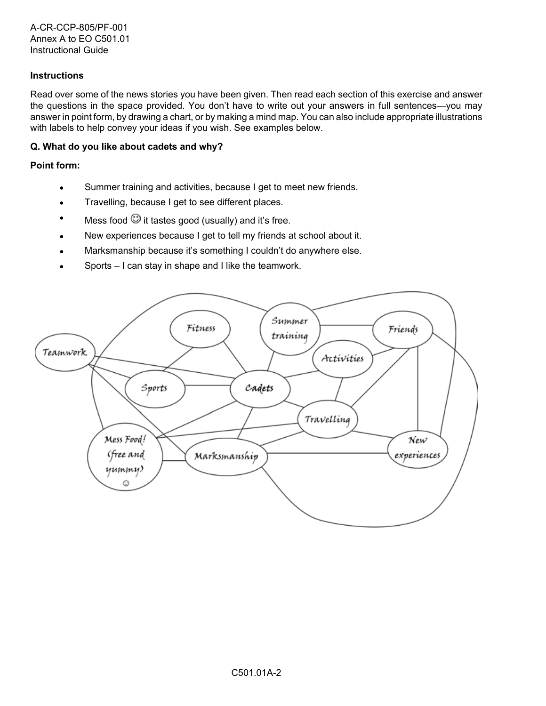#### **Instructions**

Read over some of the news stories you have been given. Then read each section of this exercise and answer the questions in the space provided. You don't have to write out your answers in full sentences—you may answer in point form, by drawing a chart, or by making a mind map. You can also include appropriate illustrations with labels to help convey your ideas if you wish. See examples below.

#### **Q. What do you like about cadets and why?**

#### **Point form:**

- Summer training and activities, because I get to meet new friends.
- Travelling, because I get to see different places.  $\bullet$
- Mess food  $\mathbb{O}$  it tastes good (usually) and it's free.
- New experiences because I get to tell my friends at school about it.
- Marksmanship because it's something I couldn't do anywhere else.
- Sports I can stay in shape and I like the teamwork.

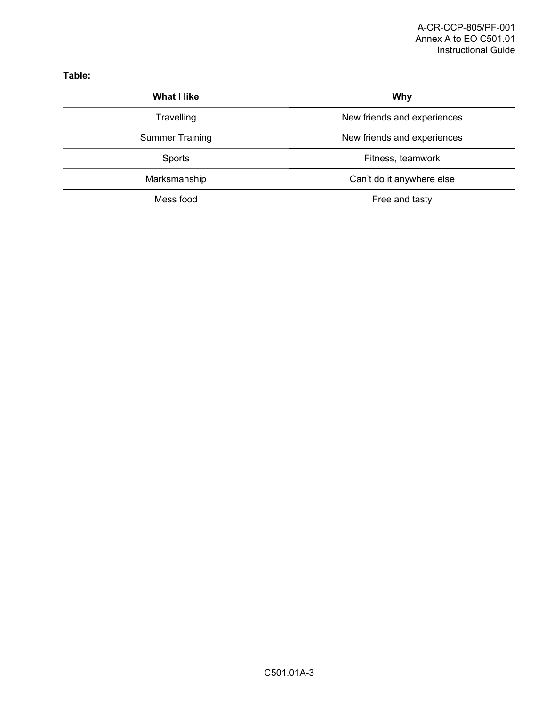**Table:**

| What I like            | <b>Why</b>                  |
|------------------------|-----------------------------|
| Travelling             | New friends and experiences |
| <b>Summer Training</b> | New friends and experiences |
| Sports                 | Fitness, teamwork           |
| Marksmanship           | Can't do it anywhere else   |
| Mess food              | Free and tasty              |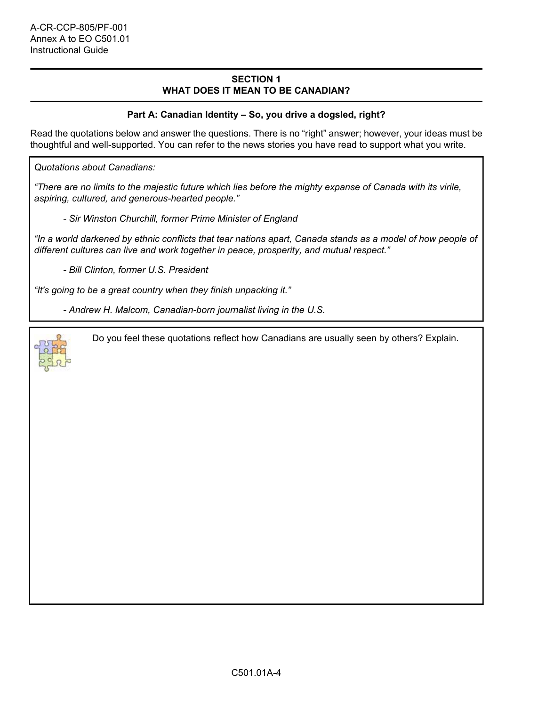#### **SECTION 1 WHAT DOES IT MEAN TO BE CANADIAN?**

#### **Part A: Canadian Identity – So, you drive a dogsled, right?**

Read the quotations below and answer the questions. There is no "right" answer; however, your ideas must be thoughtful and well-supported. You can refer to the news stories you have read to support what you write.

*Quotations about Canadians:*

*"There are no limits to the majestic future which lies before the mighty expanse of Canada with its virile, aspiring, cultured, and generous-hearted people."*

*- Sir Winston Churchill, former Prime Minister of England*

*"In a world darkened by ethnic conflicts that tear nations apart, Canada stands as a model of how people of different cultures can live and work together in peace, prosperity, and mutual respect."*

*- Bill Clinton, former U.S. President*

*"It's going to be a great country when they finish unpacking it."*

*- Andrew H. Malcom, Canadian-born journalist living in the U.S.*

Do you feel these quotations reflect how Canadians are usually seen by others? Explain.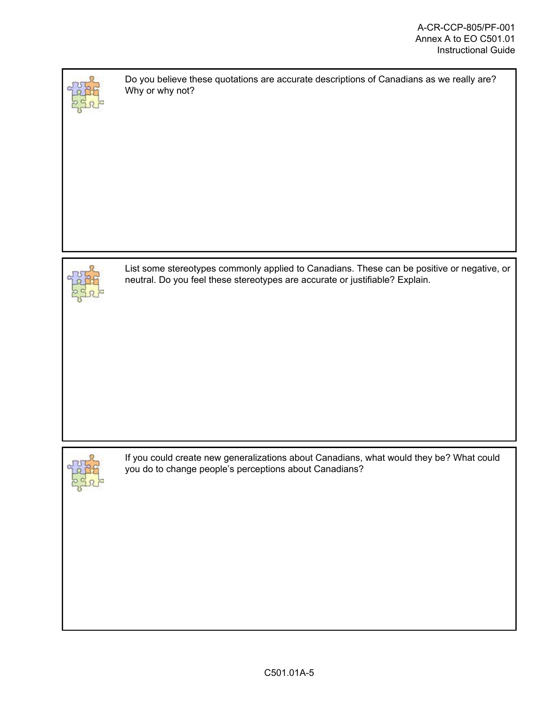

Do you believe these quotations are accurate descriptions of Canadians as we really are? Why or why not?



List some stereotypes commonly applied to Canadians. These can be positive or negative, or neutral. Do you feel these stereotypes are accurate or justifiable? Explain.



If you could create new generalizations about Canadians, what would they be? What could you do to change people's perceptions about Canadians?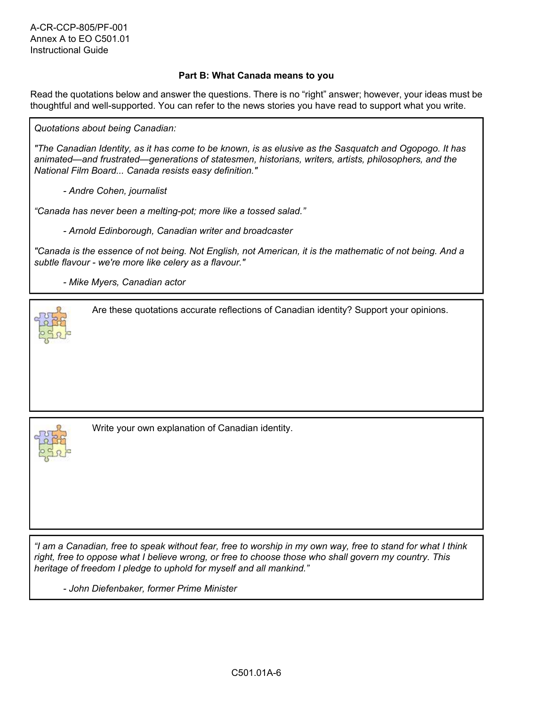A-CR-CCP-805/PF-001 Annex A to EO C501.01 Instructional Guide

#### **Part B: What Canada means to you**

Read the quotations below and answer the questions. There is no "right" answer; however, your ideas must be thoughtful and well-supported. You can refer to the news stories you have read to support what you write.

*Quotations about being Canadian:*

*"The Canadian Identity, as it has come to be known, is as elusive as the Sasquatch and Ogopogo. It has animated—and frustrated—generations of statesmen, historians, writers, artists, philosophers, and the National Film Board... Canada resists easy definition."*

*- Andre Cohen, journalist*

*"Canada has never been a melting-pot; more like a tossed salad."*

*- Arnold Edinborough, Canadian writer and broadcaster*

*"Canada is the essence of not being. Not English, not American, it is the mathematic of not being. And a subtle flavour - we're more like celery as a flavour."*

*- Mike Myers, Canadian actor*

Are these quotations accurate reflections of Canadian identity? Support your opinions.



Write your own explanation of Canadian identity.

*"I am a Canadian, free to speak without fear, free to worship in my own way, free to stand for what I think right, free to oppose what I believe wrong, or free to choose those who shall govern my country. This heritage of freedom I pledge to uphold for myself and all mankind."*

*- John Diefenbaker, former Prime Minister*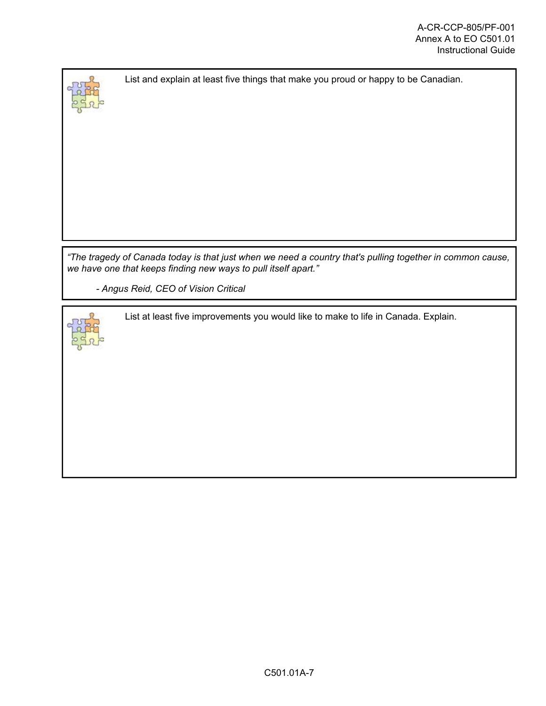

List and explain at least five things that make you proud or happy to be Canadian.

*"The tragedy of Canada today is that just when we need a country that's pulling together in common cause, we have one that keeps finding new ways to pull itself apart."*

*- Angus Reid, CEO of Vision Critical*



List at least five improvements you would like to make to life in Canada. Explain.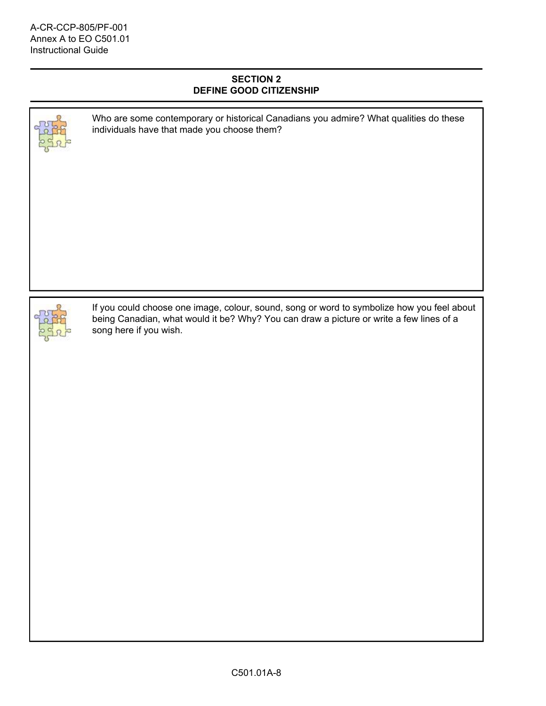#### **SECTION 2 DEFINE GOOD CITIZENSHIP**



Who are some contemporary or historical Canadians you admire? What qualities do these individuals have that made you choose them?



If you could choose one image, colour, sound, song or word to symbolize how you feel about being Canadian, what would it be? Why? You can draw a picture or write a few lines of a song here if you wish.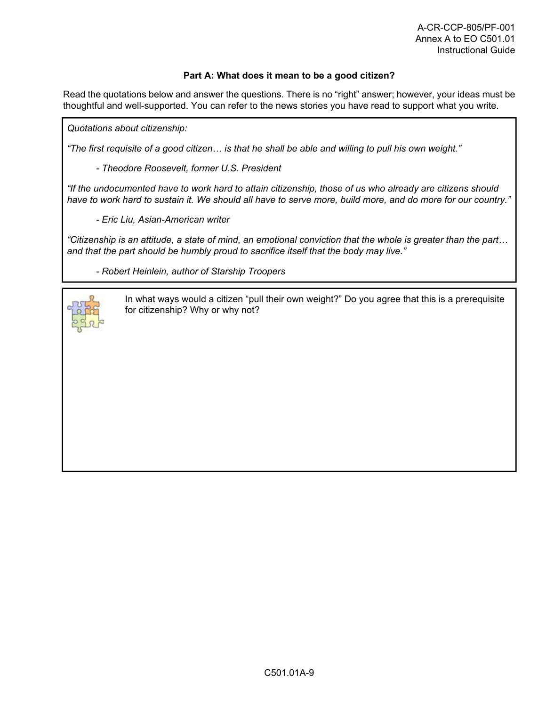#### **Part A: What does it mean to be a good citizen?**

Read the quotations below and answer the questions. There is no "right" answer; however, your ideas must be thoughtful and well-supported. You can refer to the news stories you have read to support what you write.

*Quotations about citizenship:*

*"The first requisite of a good citizen… is that he shall be able and willing to pull his own weight."*

*- Theodore Roosevelt, former U.S. President*

*"If the undocumented have to work hard to attain citizenship, those of us who already are citizens should have to work hard to sustain it. We should all have to serve more, build more, and do more for our country."*

*- Eric Liu, Asian-American writer*

*"Citizenship is an attitude, a state of mind, an emotional conviction that the whole is greater than the part… and that the part should be humbly proud to sacrifice itself that the body may live."*

*- Robert Heinlein, author of Starship Troopers*



In what ways would a citizen "pull their own weight?" Do you agree that this is a prerequisite for citizenship? Why or why not?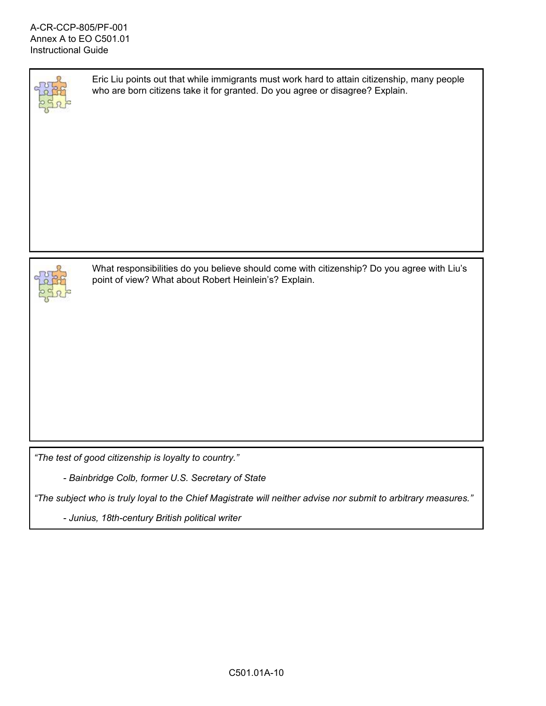

Eric Liu points out that while immigrants must work hard to attain citizenship, many people who are born citizens take it for granted. Do you agree or disagree? Explain.



What responsibilities do you believe should come with citizenship? Do you agree with Liu's point of view? What about Robert Heinlein's? Explain.

*"The test of good citizenship is loyalty to country."*

*- Bainbridge Colb, former U.S. Secretary of State*

*"The subject who is truly loyal to the Chief Magistrate will neither advise nor submit to arbitrary measures."*

*- Junius, 18th-century British political writer*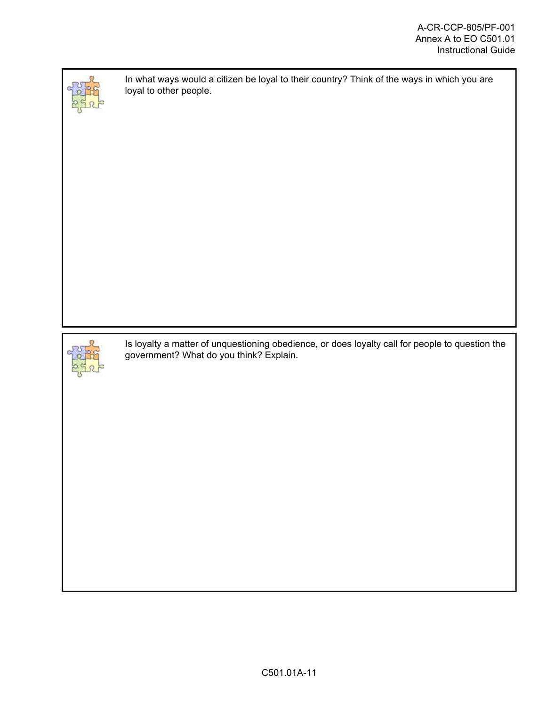

In what ways would a citizen be loyal to their country? Think of the ways in which you are loyal to other people.



Is loyalty a matter of unquestioning obedience, or does loyalty call for people to question the government? What do you think? Explain.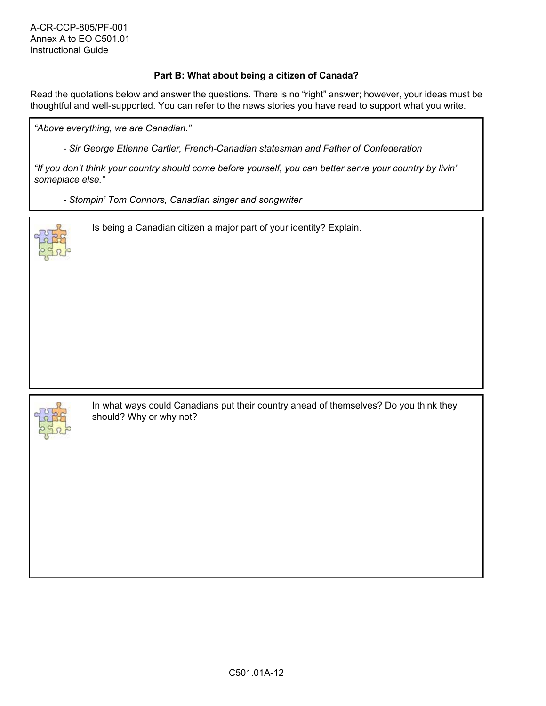A-CR-CCP-805/PF-001 Annex A to EO C501.01 Instructional Guide

#### **Part B: What about being a citizen of Canada?**

Read the quotations below and answer the questions. There is no "right" answer; however, your ideas must be thoughtful and well-supported. You can refer to the news stories you have read to support what you write.

*"Above everything, we are Canadian."*

*- Sir George Etienne Cartier, French-Canadian statesman and Father of Confederation*

*"If you don't think your country should come before yourself, you can better serve your country by livin' someplace else."*

*- Stompin' Tom Connors, Canadian singer and songwriter*

Is being a Canadian citizen a major part of your identity? Explain.



In what ways could Canadians put their country ahead of themselves? Do you think they should? Why or why not?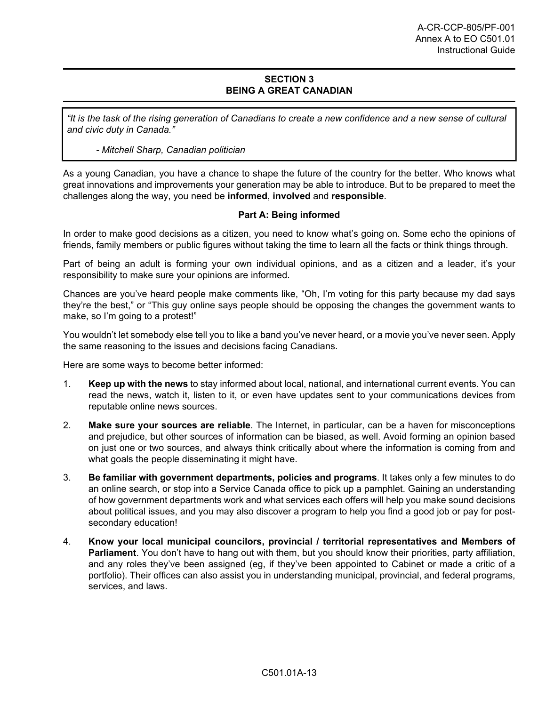#### **SECTION 3 BEING A GREAT CANADIAN**

*"It is the task of the rising generation of Canadians to create a new confidence and a new sense of cultural and civic duty in Canada."*

#### *- Mitchell Sharp, Canadian politician*

As a young Canadian, you have a chance to shape the future of the country for the better. Who knows what great innovations and improvements your generation may be able to introduce. But to be prepared to meet the challenges along the way, you need be **informed**, **involved** and **responsible**.

#### **Part A: Being informed**

In order to make good decisions as a citizen, you need to know what's going on. Some echo the opinions of friends, family members or public figures without taking the time to learn all the facts or think things through.

Part of being an adult is forming your own individual opinions, and as a citizen and a leader, it's your responsibility to make sure your opinions are informed.

Chances are you've heard people make comments like, "Oh, I'm voting for this party because my dad says they're the best," or "This guy online says people should be opposing the changes the government wants to make, so I'm going to a protest!"

You wouldn't let somebody else tell you to like a band you've never heard, or a movie you've never seen. Apply the same reasoning to the issues and decisions facing Canadians.

Here are some ways to become better informed:

- 1. **Keep up with the news** to stay informed about local, national, and international current events. You can read the news, watch it, listen to it, or even have updates sent to your communications devices from reputable online news sources.
- 2. **Make sure your sources are reliable**. The Internet, in particular, can be a haven for misconceptions and prejudice, but other sources of information can be biased, as well. Avoid forming an opinion based on just one or two sources, and always think critically about where the information is coming from and what goals the people disseminating it might have.
- 3. **Be familiar with government departments, policies and programs**. It takes only a few minutes to do an online search, or stop into a Service Canada office to pick up a pamphlet. Gaining an understanding of how government departments work and what services each offers will help you make sound decisions about political issues, and you may also discover a program to help you find a good job or pay for postsecondary education!
- 4. **Know your local municipal councilors, provincial / territorial representatives and Members of Parliament**. You don't have to hang out with them, but you should know their priorities, party affiliation, and any roles they've been assigned (eg, if they've been appointed to Cabinet or made a critic of a portfolio). Their offices can also assist you in understanding municipal, provincial, and federal programs, services, and laws.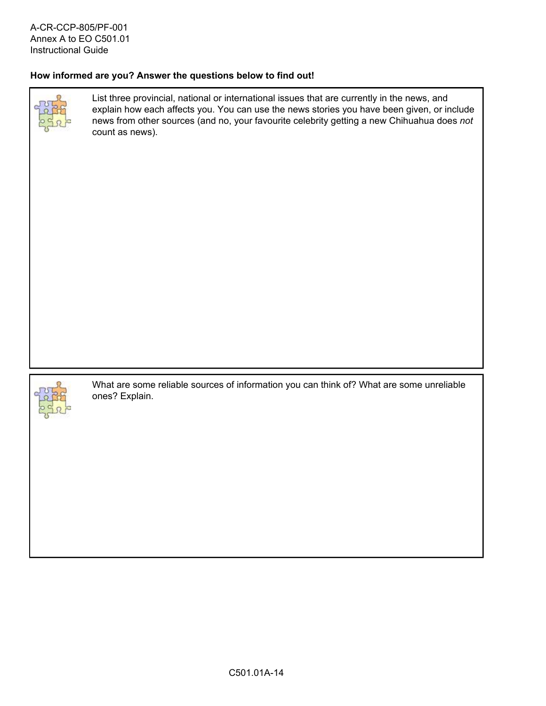#### **How informed are you? Answer the questions below to find out!**



List three provincial, national or international issues that are currently in the news, and explain how each affects you. You can use the news stories you have been given, or include news from other sources (and no, your favourite celebrity getting a new Chihuahua does *not* count as news).



What are some reliable sources of information you can think of? What are some unreliable ones? Explain.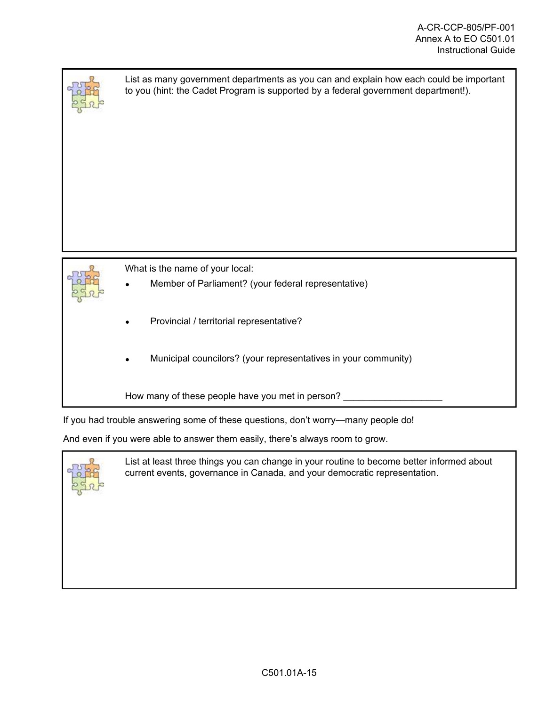

If you had trouble answering some of these questions, don't worry—many people do!

And even if you were able to answer them easily, there's always room to grow.



List at least three things you can change in your routine to become better informed about current events, governance in Canada, and your democratic representation.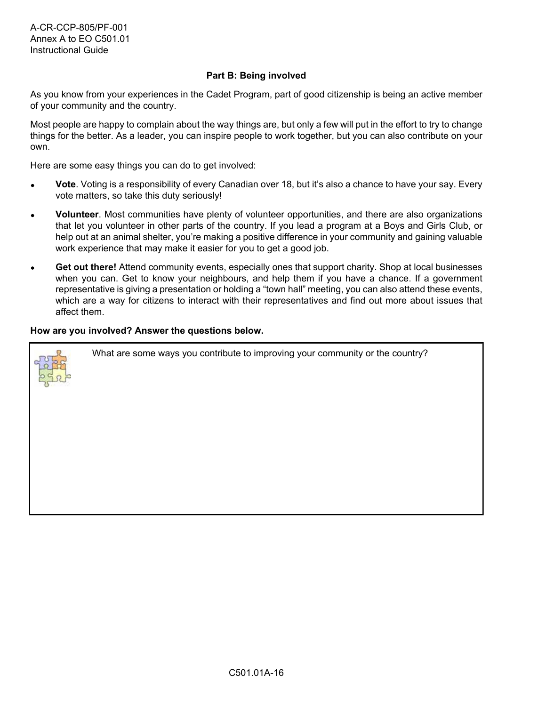#### **Part B: Being involved**

As you know from your experiences in the Cadet Program, part of good citizenship is being an active member of your community and the country.

Most people are happy to complain about the way things are, but only a few will put in the effort to try to change things for the better. As a leader, you can inspire people to work together, but you can also contribute on your own.

Here are some easy things you can do to get involved:

- **Vote**. Voting is a responsibility of every Canadian over 18, but it's also a chance to have your say. Every vote matters, so take this duty seriously!
- **Volunteer**. Most communities have plenty of volunteer opportunities, and there are also organizations  $\bullet$ that let you volunteer in other parts of the country. If you lead a program at a Boys and Girls Club, or help out at an animal shelter, you're making a positive difference in your community and gaining valuable work experience that may make it easier for you to get a good job.
- **Get out there!** Attend community events, especially ones that support charity. Shop at local businesses  $\bullet$ when you can. Get to know your neighbours, and help them if you have a chance. If a government representative is giving a presentation or holding a "town hall" meeting, you can also attend these events, which are a way for citizens to interact with their representatives and find out more about issues that affect them.

#### **How are you involved? Answer the questions below.**

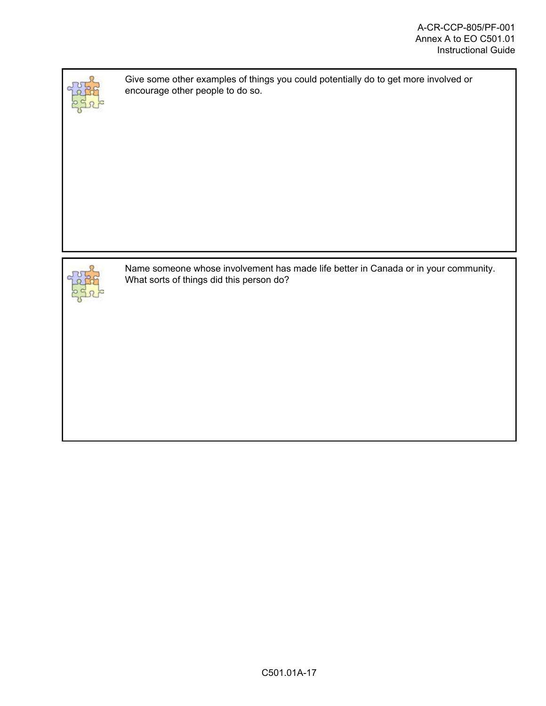

Give some other examples of things you could potentially do to get more involved or encourage other people to do so.



Name someone whose involvement has made life better in Canada or in your community. What sorts of things did this person do?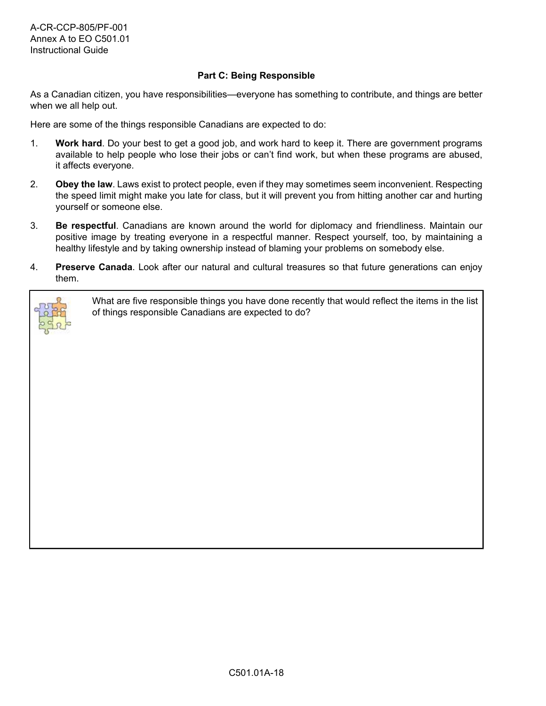#### **Part C: Being Responsible**

As a Canadian citizen, you have responsibilities—everyone has something to contribute, and things are better when we all help out.

Here are some of the things responsible Canadians are expected to do:

- 1. **Work hard**. Do your best to get a good job, and work hard to keep it. There are government programs available to help people who lose their jobs or can't find work, but when these programs are abused, it affects everyone.
- 2. **Obey the law**. Laws exist to protect people, even if they may sometimes seem inconvenient. Respecting the speed limit might make you late for class, but it will prevent you from hitting another car and hurting yourself or someone else.
- 3. **Be respectful**. Canadians are known around the world for diplomacy and friendliness. Maintain our positive image by treating everyone in a respectful manner. Respect yourself, too, by maintaining a healthy lifestyle and by taking ownership instead of blaming your problems on somebody else.
- 4. **Preserve Canada**. Look after our natural and cultural treasures so that future generations can enjoy them.



What are five responsible things you have done recently that would reflect the items in the list of things responsible Canadians are expected to do?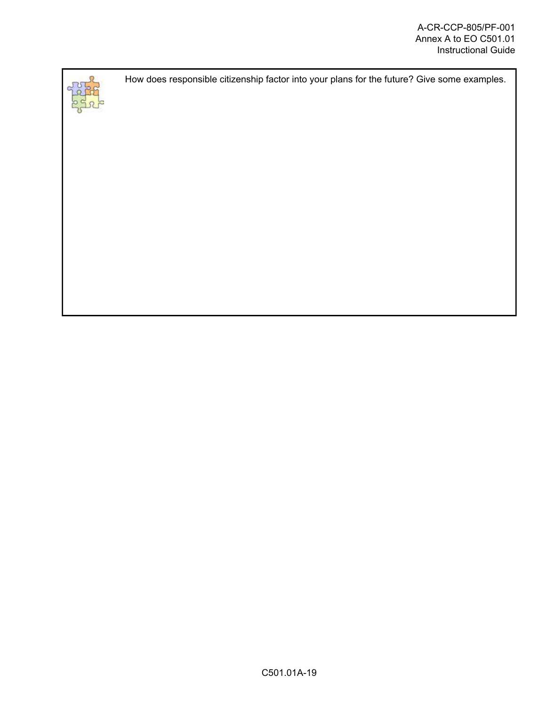

How does responsible citizenship factor into your plans for the future? Give some examples.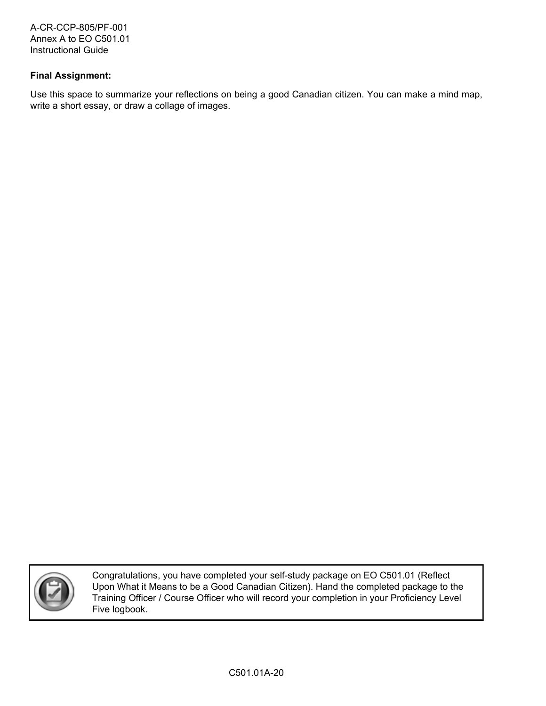A-CR-CCP-805/PF-001 Annex A to EO C501.01 Instructional Guide

#### **Final Assignment:**

Use this space to summarize your reflections on being a good Canadian citizen. You can make a mind map, write a short essay, or draw a collage of images.



Congratulations, you have completed your self-study package on EO C501.01 (Reflect Upon What it Means to be a Good Canadian Citizen). Hand the completed package to the Training Officer / Course Officer who will record your completion in your Proficiency Level Five logbook.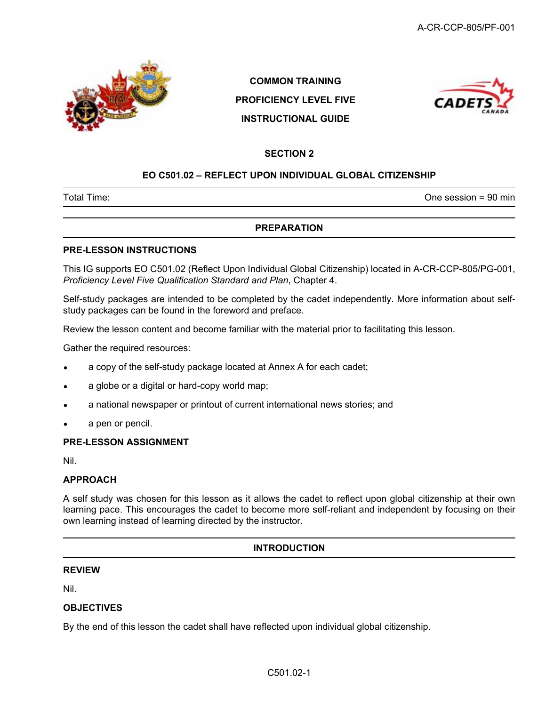

**COMMON TRAINING PROFICIENCY LEVEL FIVE INSTRUCTIONAL GUIDE**



#### **SECTION 2**

#### **EO C501.02 – REFLECT UPON INDIVIDUAL GLOBAL CITIZENSHIP**

Total Time: One session = 90 min

#### **PREPARATION**

#### **PRE-LESSON INSTRUCTIONS**

This IG supports EO C501.02 (Reflect Upon Individual Global Citizenship) located in A-CR-CCP-805/PG-001, *Proficiency Level Five Qualification Standard and Plan*, Chapter 4.

Self-study packages are intended to be completed by the cadet independently. More information about selfstudy packages can be found in the foreword and preface.

Review the lesson content and become familiar with the material prior to facilitating this lesson.

Gather the required resources:

- a copy of the self-study package located at Annex A for each cadet;
- a globe or a digital or hard-copy world map;
- a national newspaper or printout of current international news stories; and
- a pen or pencil.

#### **PRE-LESSON ASSIGNMENT**

Nil.

#### **APPROACH**

A self study was chosen for this lesson as it allows the cadet to reflect upon global citizenship at their own learning pace. This encourages the cadet to become more self-reliant and independent by focusing on their own learning instead of learning directed by the instructor.

#### **INTRODUCTION**

#### **REVIEW**

Nil.

#### **OBJECTIVES**

By the end of this lesson the cadet shall have reflected upon individual global citizenship.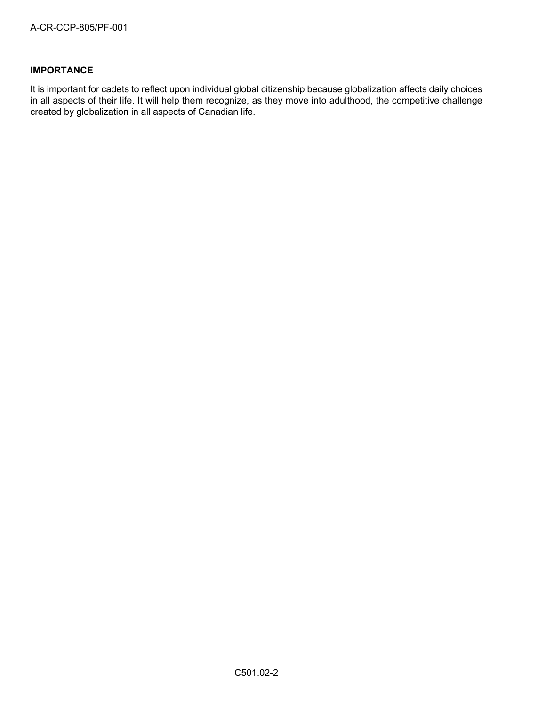#### **IMPORTANCE**

It is important for cadets to reflect upon individual global citizenship because globalization affects daily choices in all aspects of their life. It will help them recognize, as they move into adulthood, the competitive challenge created by globalization in all aspects of Canadian life.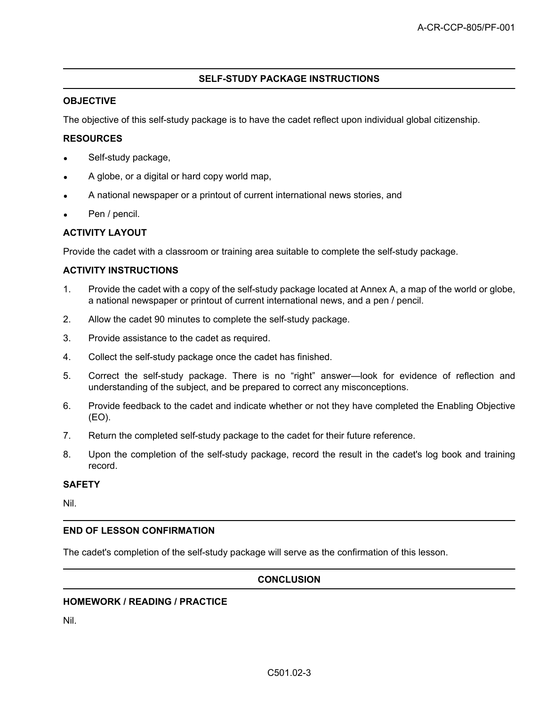#### **SELF-STUDY PACKAGE INSTRUCTIONS**

#### **OBJECTIVE**

The objective of this self-study package is to have the cadet reflect upon individual global citizenship.

#### **RESOURCES**

- Self-study package,  $\bullet$
- A globe, or a digital or hard copy world map,
- A national newspaper or a printout of current international news stories, and
- Pen / pencil.

#### **ACTIVITY LAYOUT**

Provide the cadet with a classroom or training area suitable to complete the self-study package.

#### **ACTIVITY INSTRUCTIONS**

- 1. Provide the cadet with a copy of the self-study package located at Annex A, a map of the world or globe, a national newspaper or printout of current international news, and a pen / pencil.
- 2. Allow the cadet 90 minutes to complete the self-study package.
- 3. Provide assistance to the cadet as required.
- 4. Collect the self-study package once the cadet has finished.
- 5. Correct the self-study package. There is no "right" answer—look for evidence of reflection and understanding of the subject, and be prepared to correct any misconceptions.
- 6. Provide feedback to the cadet and indicate whether or not they have completed the Enabling Objective (EO).
- 7. Return the completed self-study package to the cadet for their future reference.
- 8. Upon the completion of the self-study package, record the result in the cadet's log book and training record.

#### **SAFETY**

Nil.

#### **END OF LESSON CONFIRMATION**

The cadet's completion of the self-study package will serve as the confirmation of this lesson.

#### **CONCLUSION**

#### **HOMEWORK / READING / PRACTICE**

Nil.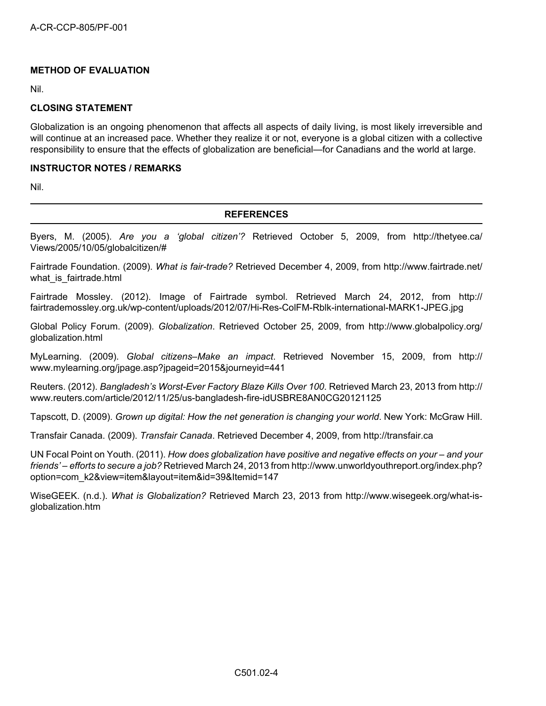#### **METHOD OF EVALUATION**

Nil.

#### **CLOSING STATEMENT**

Globalization is an ongoing phenomenon that affects all aspects of daily living, is most likely irreversible and will continue at an increased pace. Whether they realize it or not, everyone is a global citizen with a collective responsibility to ensure that the effects of globalization are beneficial—for Canadians and the world at large.

#### **INSTRUCTOR NOTES / REMARKS**

Nil.

#### **REFERENCES**

Byers, M. (2005). *Are you a 'global citizen'?* Retrieved October 5, 2009, from http://thetyee.ca/ Views/2005/10/05/globalcitizen/#

Fairtrade Foundation. (2009). *What is fair-trade?* Retrieved December 4, 2009, from http://www.fairtrade.net/ what is fairtrade.html

Fairtrade Mossley. (2012). Image of Fairtrade symbol. Retrieved March 24, 2012, from http:// fairtrademossley.org.uk/wp-content/uploads/2012/07/Hi-Res-ColFM-Rblk-international-MARK1-JPEG.jpg

Global Policy Forum. (2009). *Globalization*. Retrieved October 25, 2009, from http://www.globalpolicy.org/ globalization.html

MyLearning. (2009). *Global citizens–Make an impact*. Retrieved November 15, 2009, from http:// www.mylearning.org/jpage.asp?jpageid=2015&journeyid=441

Reuters. (2012). *Bangladesh's Worst-Ever Factory Blaze Kills Over 100*. Retrieved March 23, 2013 from http:// www.reuters.com/article/2012/11/25/us-bangladesh-fire-idUSBRE8AN0CG20121125

Tapscott, D. (2009). *Grown up digital: How the net generation is changing your world*. New York: McGraw Hill.

Transfair Canada. (2009). *Transfair Canada*. Retrieved December 4, 2009, from http://transfair.ca

UN Focal Point on Youth. (2011). *How does globalization have positive and negative effects on your – and your friends' – efforts to secure a job?* Retrieved March 24, 2013 from http://www.unworldyouthreport.org/index.php? option=com\_k2&view=item&layout=item&id=39&Itemid=147

WiseGEEK. (n.d.). *What is Globalization?* Retrieved March 23, 2013 from http://www.wisegeek.org/what-isglobalization.htm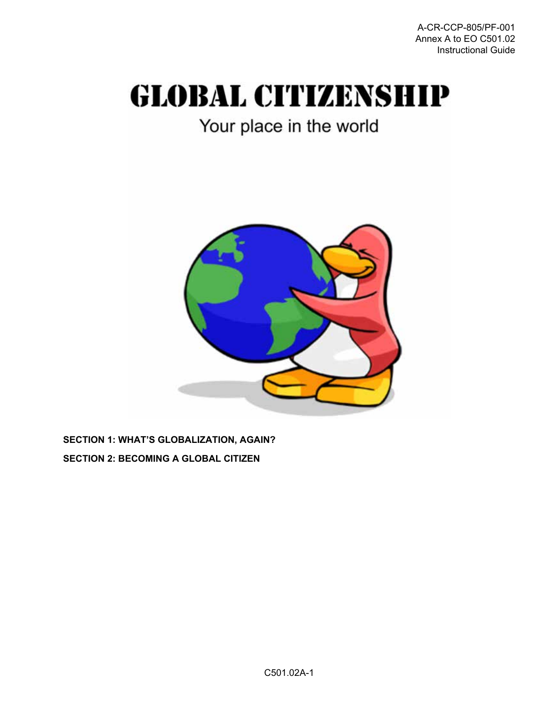A-CR-CCP-805/PF-001 Annex A to EO C501.02 Instructional Guide

## **GLOBAL CITIZENSHIP**

### Your place in the world



**SECTION 1: WHAT'S GLOBALIZATION, AGAIN? SECTION 2: BECOMING A GLOBAL CITIZEN**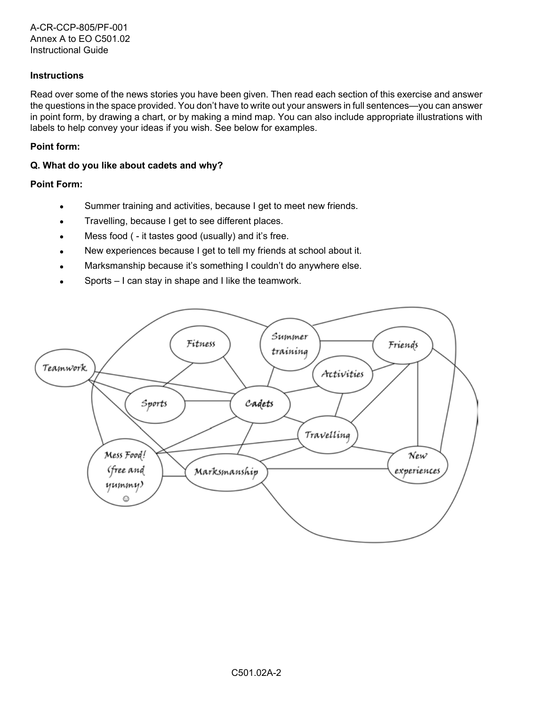#### **Instructions**

Read over some of the news stories you have been given. Then read each section of this exercise and answer the questions in the space provided. You don't have to write out your answers in full sentences—you can answer in point form, by drawing a chart, or by making a mind map. You can also include appropriate illustrations with labels to help convey your ideas if you wish. See below for examples.

#### **Point form:**

#### **Q. What do you like about cadets and why?**

#### **Point Form:**

- Summer training and activities, because I get to meet new friends.  $\bullet$
- Travelling, because I get to see different places.  $\bullet$
- Mess food ( it tastes good (usually) and it's free.
- New experiences because I get to tell my friends at school about it.
- Marksmanship because it's something I couldn't do anywhere else.
- Sports I can stay in shape and I like the teamwork. $\bullet$

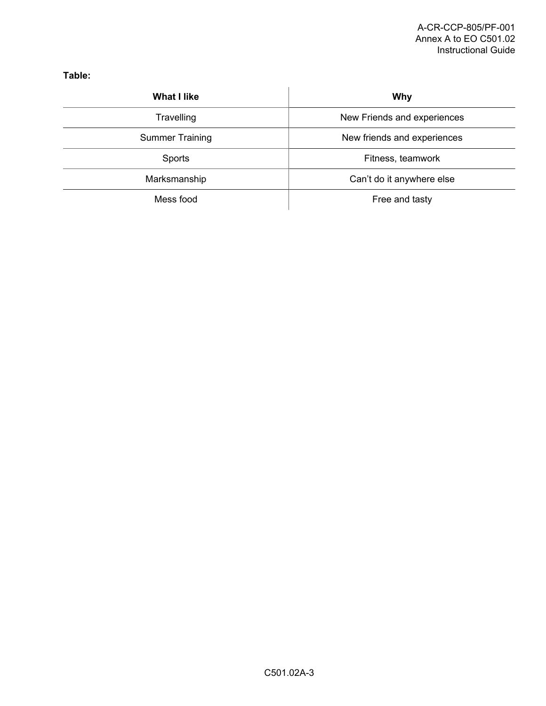**Table:**

| What I like            | <b>Why</b>                  |
|------------------------|-----------------------------|
| Travelling             | New Friends and experiences |
| <b>Summer Training</b> | New friends and experiences |
| Sports                 | Fitness, teamwork           |
| Marksmanship           | Can't do it anywhere else   |
| Mess food              | Free and tasty              |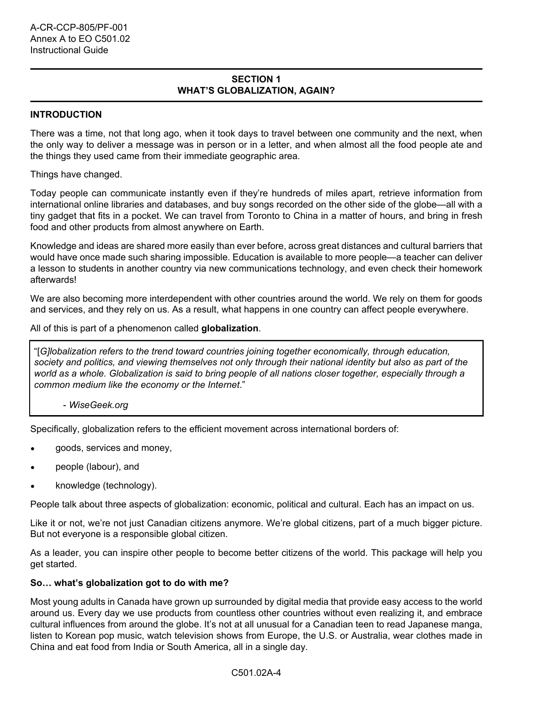#### **SECTION 1 WHAT'S GLOBALIZATION, AGAIN?**

#### **INTRODUCTION**

There was a time, not that long ago, when it took days to travel between one community and the next, when the only way to deliver a message was in person or in a letter, and when almost all the food people ate and the things they used came from their immediate geographic area.

Things have changed.

Today people can communicate instantly even if they're hundreds of miles apart, retrieve information from international online libraries and databases, and buy songs recorded on the other side of the globe—all with a tiny gadget that fits in a pocket. We can travel from Toronto to China in a matter of hours, and bring in fresh food and other products from almost anywhere on Earth.

Knowledge and ideas are shared more easily than ever before, across great distances and cultural barriers that would have once made such sharing impossible. Education is available to more people—a teacher can deliver a lesson to students in another country via new communications technology, and even check their homework afterwards!

We are also becoming more interdependent with other countries around the world. We rely on them for goods and services, and they rely on us. As a result, what happens in one country can affect people everywhere.

All of this is part of a phenomenon called **globalization**.

"[*G]lobalization refers to the trend toward countries joining together economically, through education, society and politics, and viewing themselves not only through their national identity but also as part of the world as a whole. Globalization is said to bring people of all nations closer together, especially through a common medium like the economy or the Internet*."

- *WiseGeek.org*

Specifically, globalization refers to the efficient movement across international borders of:

- goods, services and money,
- people (labour), and
- knowledge (technology).

People talk about three aspects of globalization: economic, political and cultural. Each has an impact on us.

Like it or not, we're not just Canadian citizens anymore. We're global citizens, part of a much bigger picture. But not everyone is a responsible global citizen.

As a leader, you can inspire other people to become better citizens of the world. This package will help you get started.

#### **So… what's globalization got to do with me?**

Most young adults in Canada have grown up surrounded by digital media that provide easy access to the world around us. Every day we use products from countless other countries without even realizing it, and embrace cultural influences from around the globe. It's not at all unusual for a Canadian teen to read Japanese manga, listen to Korean pop music, watch television shows from Europe, the U.S. or Australia, wear clothes made in China and eat food from India or South America, all in a single day.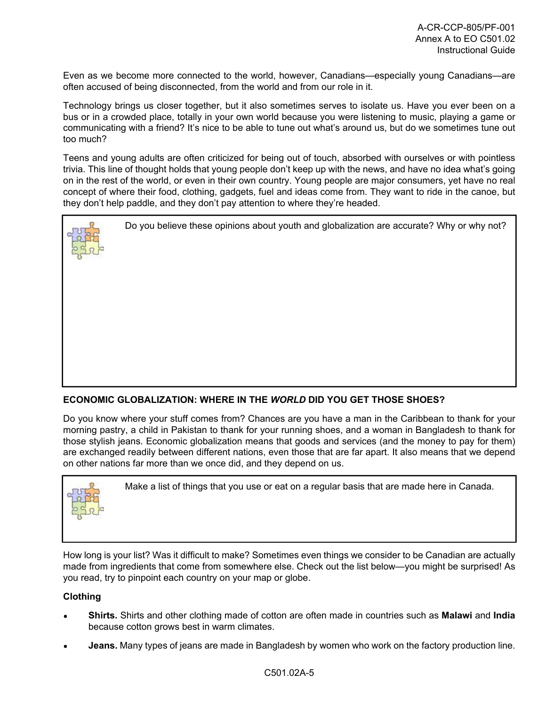Even as we become more connected to the world, however, Canadians—especially young Canadians—are often accused of being disconnected, from the world and from our role in it.

Technology brings us closer together, but it also sometimes serves to isolate us. Have you ever been on a bus or in a crowded place, totally in your own world because you were listening to music, playing a game or communicating with a friend? It's nice to be able to tune out what's around us, but do we sometimes tune out too much?

Teens and young adults are often criticized for being out of touch, absorbed with ourselves or with pointless trivia. This line of thought holds that young people don't keep up with the news, and have no idea what's going on in the rest of the world, or even in their own country. Young people are major consumers, yet have no real concept of where their food, clothing, gadgets, fuel and ideas come from. They want to ride in the canoe, but they don't help paddle, and they don't pay attention to where they're headed.

| Do you believe these opinions about youth and globalization are accurate? Why or why not? |
|-------------------------------------------------------------------------------------------|
|                                                                                           |
|                                                                                           |
|                                                                                           |
|                                                                                           |
|                                                                                           |

#### **ECONOMIC GLOBALIZATION: WHERE IN THE** *WORLD* **DID YOU GET THOSE SHOES?**

Do you know where your stuff comes from? Chances are you have a man in the Caribbean to thank for your morning pastry, a child in Pakistan to thank for your running shoes, and a woman in Bangladesh to thank for those stylish jeans. Economic globalization means that goods and services (and the money to pay for them) are exchanged readily between different nations, even those that are far apart. It also means that we depend on other nations far more than we once did, and they depend on us.



How long is your list? Was it difficult to make? Sometimes even things we consider to be Canadian are actually made from ingredients that come from somewhere else. Check out the list below—you might be surprised! As you read, try to pinpoint each country on your map or globe.

#### **Clothing**

- **Shirts.** Shirts and other clothing made of cotton are often made in countries such as **Malawi** and **India** because cotton grows best in warm climates.
- **Jeans.** Many types of jeans are made in Bangladesh by women who work on the factory production line.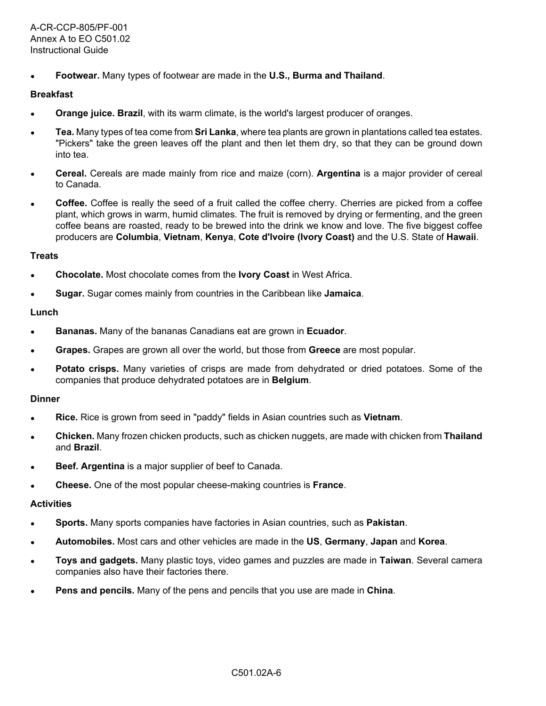A-CR-CCP-805/PF-001 Annex A to EO C501.02 Instructional Guide

**Footwear.** Many types of footwear are made in the **U.S., Burma and Thailand**.

#### **Breakfast**

- **Orange juice. Brazil**, with its warm climate, is the world's largest producer of oranges.
- **Tea.** Many types of tea come from **Sri Lanka**, where tea plants are grown in plantations called tea estates.  $\bullet$ "Pickers" take the green leaves off the plant and then let them dry, so that they can be ground down into tea.
- **Cereal.** Cereals are made mainly from rice and maize (corn). **Argentina** is a major provider of cereal  $\bullet$ to Canada.
- **Coffee.** Coffee is really the seed of a fruit called the coffee cherry. Cherries are picked from a coffee  $\bullet$ plant, which grows in warm, humid climates. The fruit is removed by drying or fermenting, and the green coffee beans are roasted, ready to be brewed into the drink we know and love. The five biggest coffee producers are **Columbia**, **Vietnam**, **Kenya**, **Cote d'lvoire (Ivory Coast)** and the U.S. State of **Hawaii**.

#### **Treats**

- **Chocolate.** Most chocolate comes from the **Ivory Coast** in West Africa.
- **Sugar.** Sugar comes mainly from countries in the Caribbean like **Jamaica**.

#### **Lunch**

- **Bananas.** Many of the bananas Canadians eat are grown in **Ecuador**.
- **Grapes.** Grapes are grown all over the world, but those from **Greece** are most popular.
- **Potato crisps.** Many varieties of crisps are made from dehydrated or dried potatoes. Some of the companies that produce dehydrated potatoes are in **Belgium**.

#### **Dinner**

- **Rice.** Rice is grown from seed in "paddy" fields in Asian countries such as **Vietnam**.
- **Chicken.** Many frozen chicken products, such as chicken nuggets, are made with chicken from **Thailand** and **Brazil**.
- **Beef. Argentina** is a major supplier of beef to Canada.
- **Cheese.** One of the most popular cheese-making countries is **France**.

#### **Activities**

- **Sports.** Many sports companies have factories in Asian countries, such as **Pakistan**.  $\bullet$
- **Automobiles.** Most cars and other vehicles are made in the **US**, **Germany**, **Japan** and **Korea**.  $\bullet$
- **Toys and gadgets.** Many plastic toys, video games and puzzles are made in **Taiwan**. Several camera  $\bullet$ companies also have their factories there.
- **Pens and pencils.** Many of the pens and pencils that you use are made in **China**. $\bullet$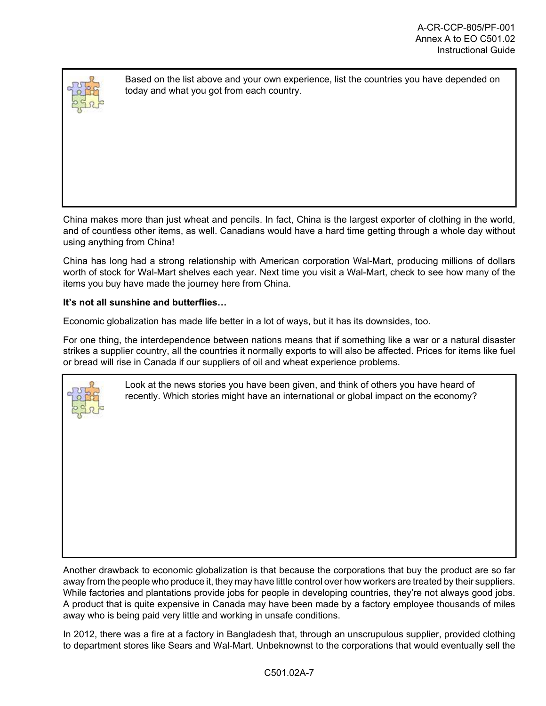

Based on the list above and your own experience, list the countries you have depended on today and what you got from each country.

China makes more than just wheat and pencils. In fact, China is the largest exporter of clothing in the world, and of countless other items, as well. Canadians would have a hard time getting through a whole day without using anything from China!

China has long had a strong relationship with American corporation Wal-Mart, producing millions of dollars worth of stock for Wal-Mart shelves each year. Next time you visit a Wal-Mart, check to see how many of the items you buy have made the journey here from China.

#### **It's not all sunshine and butterflies…**

Economic globalization has made life better in a lot of ways, but it has its downsides, too.

For one thing, the interdependence between nations means that if something like a war or a natural disaster strikes a supplier country, all the countries it normally exports to will also be affected. Prices for items like fuel or bread will rise in Canada if our suppliers of oil and wheat experience problems.



Look at the news stories you have been given, and think of others you have heard of recently. Which stories might have an international or global impact on the economy?

Another drawback to economic globalization is that because the corporations that buy the product are so far away from the people who produce it, they may have little control over how workers are treated by their suppliers. While factories and plantations provide jobs for people in developing countries, they're not always good jobs. A product that is quite expensive in Canada may have been made by a factory employee thousands of miles away who is being paid very little and working in unsafe conditions.

In 2012, there was a fire at a factory in Bangladesh that, through an unscrupulous supplier, provided clothing to department stores like Sears and Wal-Mart. Unbeknownst to the corporations that would eventually sell the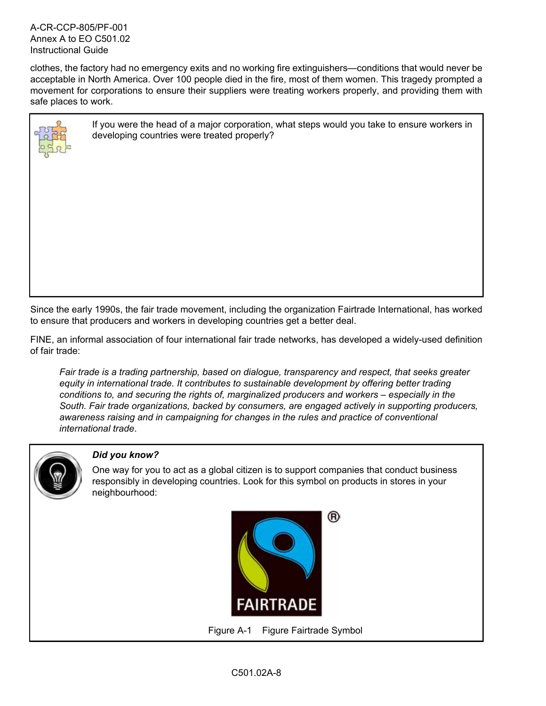A-CR-CCP-805/PF-001 Annex A to EO C501.02 Instructional Guide

clothes, the factory had no emergency exits and no working fire extinguishers—conditions that would never be acceptable in North America. Over 100 people died in the fire, most of them women. This tragedy prompted a movement for corporations to ensure their suppliers were treating workers properly, and providing them with safe places to work.



Since the early 1990s, the fair trade movement, including the organization Fairtrade International, has worked to ensure that producers and workers in developing countries get a better deal.

FINE, an informal association of four international fair trade networks, has developed a widely-used definition of fair trade:

*Fair trade is a trading partnership, based on dialogue, transparency and respect, that seeks greater equity in international trade. It contributes to sustainable development by offering better trading conditions to, and securing the rights of, marginalized producers and workers – especially in the South. Fair trade organizations, backed by consumers, are engaged actively in supporting producers, awareness raising and in campaigning for changes in the rules and practice of conventional international trade*.



#### *Did you know?*

One way for you to act as a global citizen is to support companies that conduct business responsibly in developing countries. Look for this symbol on products in stores in your neighbourhood:



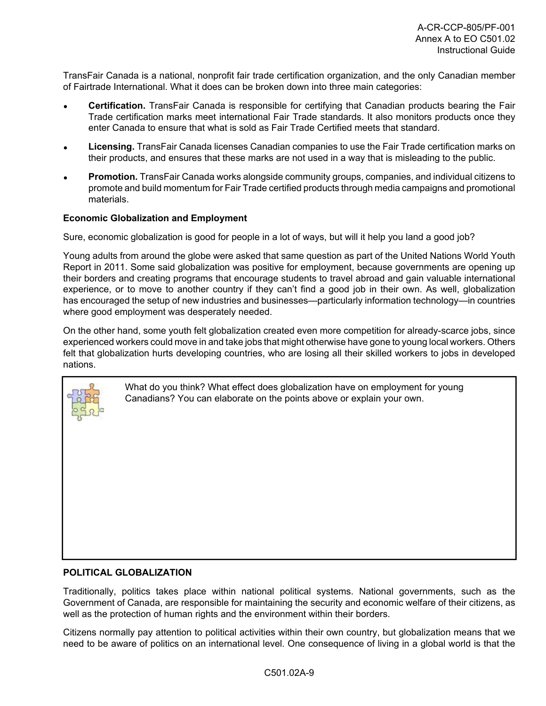TransFair Canada is a national, nonprofit fair trade certification organization, and the only Canadian member of Fairtrade International. What it does can be broken down into three main categories:

- **Certification.** TransFair Canada is responsible for certifying that Canadian products bearing the Fair Trade certification marks meet international Fair Trade standards. It also monitors products once they enter Canada to ensure that what is sold as Fair Trade Certified meets that standard.
- **Licensing.** TransFair Canada licenses Canadian companies to use the Fair Trade certification marks on their products, and ensures that these marks are not used in a way that is misleading to the public.
- **Promotion.** TransFair Canada works alongside community groups, companies, and individual citizens to promote and build momentum for Fair Trade certified products through media campaigns and promotional materials.

#### **Economic Globalization and Employment**

Sure, economic globalization is good for people in a lot of ways, but will it help you land a good job?

Young adults from around the globe were asked that same question as part of the United Nations World Youth Report in 2011. Some said globalization was positive for employment, because governments are opening up their borders and creating programs that encourage students to travel abroad and gain valuable international experience, or to move to another country if they can't find a good job in their own. As well, globalization has encouraged the setup of new industries and businesses—particularly information technology—in countries where good employment was desperately needed.

On the other hand, some youth felt globalization created even more competition for already-scarce jobs, since experienced workers could move in and take jobs that might otherwise have gone to young local workers. Others felt that globalization hurts developing countries, who are losing all their skilled workers to jobs in developed nations.



What do you think? What effect does globalization have on employment for young Canadians? You can elaborate on the points above or explain your own.

#### **POLITICAL GLOBALIZATION**

Traditionally, politics takes place within national political systems. National governments, such as the Government of Canada, are responsible for maintaining the security and economic welfare of their citizens, as well as the protection of human rights and the environment within their borders.

Citizens normally pay attention to political activities within their own country, but globalization means that we need to be aware of politics on an international level. One consequence of living in a global world is that the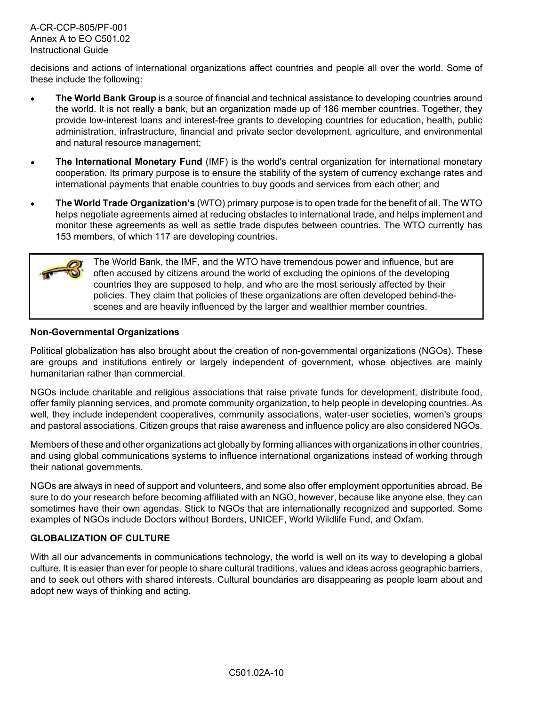A-CR-CCP-805/PF-001 Annex A to EO C501.02 Instructional Guide

decisions and actions of international organizations affect countries and people all over the world. Some of these include the following:

- **The World Bank Group** is a source of financial and technical assistance to developing countries around  $\bullet$ the world. It is not really a bank, but an organization made up of 186 member countries. Together, they provide low-interest loans and interest-free grants to developing countries for education, health, public administration, infrastructure, financial and private sector development, agriculture, and environmental and natural resource management;
- **The International Monetary Fund** (IMF) is the world's central organization for international monetary cooperation. Its primary purpose is to ensure the stability of the system of currency exchange rates and international payments that enable countries to buy goods and services from each other; and
- **The World Trade Organization's** (WTO) primary purpose is to open trade for the benefit of all. The WTO helps negotiate agreements aimed at reducing obstacles to international trade, and helps implement and monitor these agreements as well as settle trade disputes between countries. The WTO currently has 153 members, of which 117 are developing countries.

The World Bank, the IMF, and the WTO have tremendous power and influence, but are often accused by citizens around the world of excluding the opinions of the developing countries they are supposed to help, and who are the most seriously affected by their policies. They claim that policies of these organizations are often developed behind-thescenes and are heavily influenced by the larger and wealthier member countries.

#### **Non-Governmental Organizations**

Political globalization has also brought about the creation of non-governmental organizations (NGOs). These are groups and institutions entirely or largely independent of government, whose objectives are mainly humanitarian rather than commercial.

NGOs include charitable and religious associations that raise private funds for development, distribute food, offer family planning services, and promote community organization, to help people in developing countries. As well, they include independent cooperatives, community associations, water-user societies, women's groups and pastoral associations. Citizen groups that raise awareness and influence policy are also considered NGOs.

Members of these and other organizations act globally by forming alliances with organizations in other countries, and using global communications systems to influence international organizations instead of working through their national governments.

NGOs are always in need of support and volunteers, and some also offer employment opportunities abroad. Be sure to do your research before becoming affiliated with an NGO, however, because like anyone else, they can sometimes have their own agendas. Stick to NGOs that are internationally recognized and supported. Some examples of NGOs include Doctors without Borders, UNICEF, World Wildlife Fund, and Oxfam.

#### **GLOBALIZATION OF CULTURE**

With all our advancements in communications technology, the world is well on its way to developing a global culture. It is easier than ever for people to share cultural traditions, values and ideas across geographic barriers, and to seek out others with shared interests. Cultural boundaries are disappearing as people learn about and adopt new ways of thinking and acting.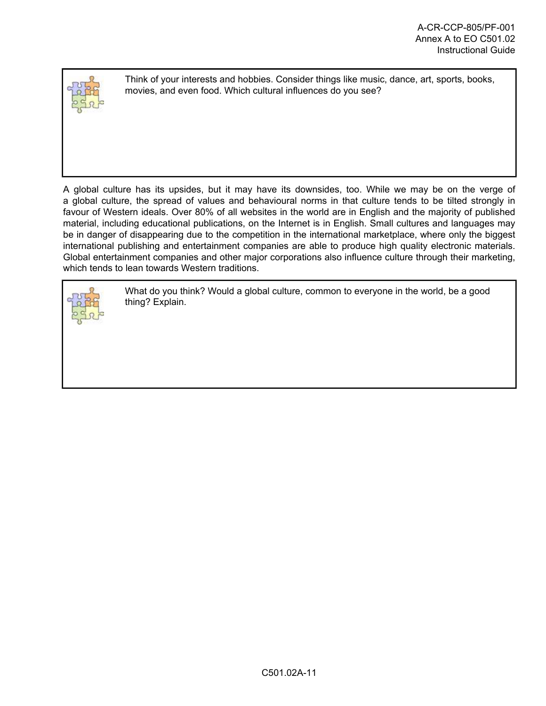

Think of your interests and hobbies. Consider things like music, dance, art, sports, books, movies, and even food. Which cultural influences do you see?

A global culture has its upsides, but it may have its downsides, too. While we may be on the verge of a global culture, the spread of values and behavioural norms in that culture tends to be tilted strongly in favour of Western ideals. Over 80% of all websites in the world are in English and the majority of published material, including educational publications, on the Internet is in English. Small cultures and languages may be in danger of disappearing due to the competition in the international marketplace, where only the biggest international publishing and entertainment companies are able to produce high quality electronic materials. Global entertainment companies and other major corporations also influence culture through their marketing, which tends to lean towards Western traditions.



What do you think? Would a global culture, common to everyone in the world, be a good thing? Explain.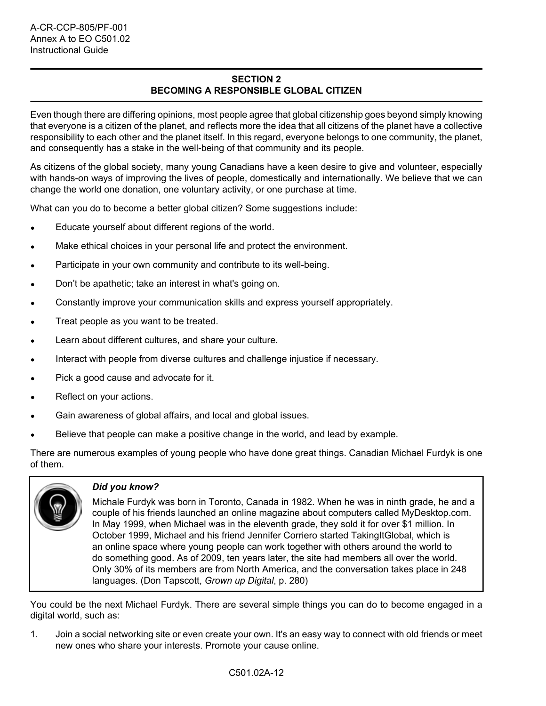#### **SECTION 2 BECOMING A RESPONSIBLE GLOBAL CITIZEN**

Even though there are differing opinions, most people agree that global citizenship goes beyond simply knowing that everyone is a citizen of the planet, and reflects more the idea that all citizens of the planet have a collective responsibility to each other and the planet itself. In this regard, everyone belongs to one community, the planet, and consequently has a stake in the well-being of that community and its people.

As citizens of the global society, many young Canadians have a keen desire to give and volunteer, especially with hands-on ways of improving the lives of people, domestically and internationally. We believe that we can change the world one donation, one voluntary activity, or one purchase at time.

What can you do to become a better global citizen? Some suggestions include:

- Educate yourself about different regions of the world.
- Make ethical choices in your personal life and protect the environment.
- Participate in your own community and contribute to its well-being.
- Don't be apathetic; take an interest in what's going on.
- Constantly improve your communication skills and express yourself appropriately.
- Treat people as you want to be treated.
- Learn about different cultures, and share your culture.
- Interact with people from diverse cultures and challenge injustice if necessary.
- Pick a good cause and advocate for it.
- Reflect on your actions.
- Gain awareness of global affairs, and local and global issues.
- Believe that people can make a positive change in the world, and lead by example.

There are numerous examples of young people who have done great things. Canadian Michael Furdyk is one of them.



#### *Did you know?*

Michale Furdyk was born in Toronto, Canada in 1982. When he was in ninth grade, he and a couple of his friends launched an online magazine about computers called MyDesktop.com. In May 1999, when Michael was in the eleventh grade, they sold it for over \$1 million. In October 1999, Michael and his friend Jennifer Corriero started TakingItGlobal, which is an online space where young people can work together with others around the world to do something good. As of 2009, ten years later, the site had members all over the world. Only 30% of its members are from North America, and the conversation takes place in 248 languages. (Don Tapscott, *Grown up Digital*, p. 280)

You could be the next Michael Furdyk. There are several simple things you can do to become engaged in a digital world, such as:

1. Join a social networking site or even create your own. It's an easy way to connect with old friends or meet new ones who share your interests. Promote your cause online.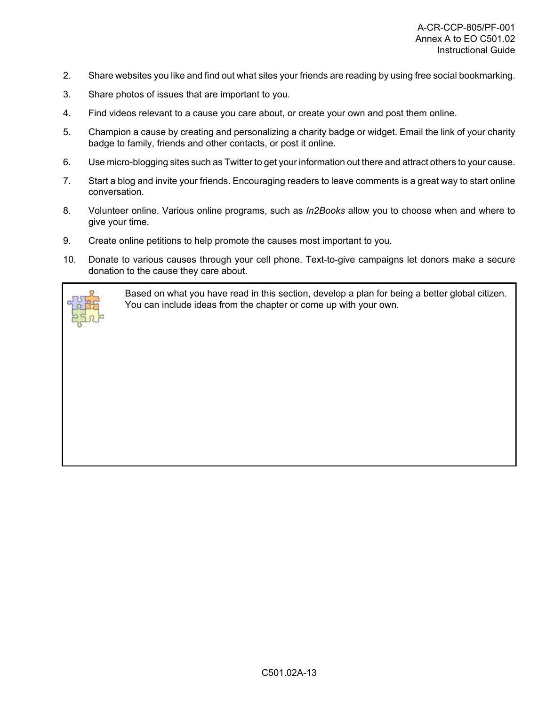- 2. Share websites you like and find out what sites your friends are reading by using free social bookmarking.
- 3. Share photos of issues that are important to you.
- 4. Find videos relevant to a cause you care about, or create your own and post them online.
- 5. Champion a cause by creating and personalizing a charity badge or widget. Email the link of your charity badge to family, friends and other contacts, or post it online.
- 6. Use micro-blogging sites such as Twitter to get your information out there and attract others to your cause.
- 7. Start a blog and invite your friends. Encouraging readers to leave comments is a great way to start online conversation.
- 8. Volunteer online. Various online programs, such as *In2Books* allow you to choose when and where to give your time.
- 9. Create online petitions to help promote the causes most important to you.
- 10. Donate to various causes through your cell phone. Text-to-give campaigns let donors make a secure donation to the cause they care about.



Based on what you have read in this section, develop a plan for being a better global citizen. You can include ideas from the chapter or come up with your own.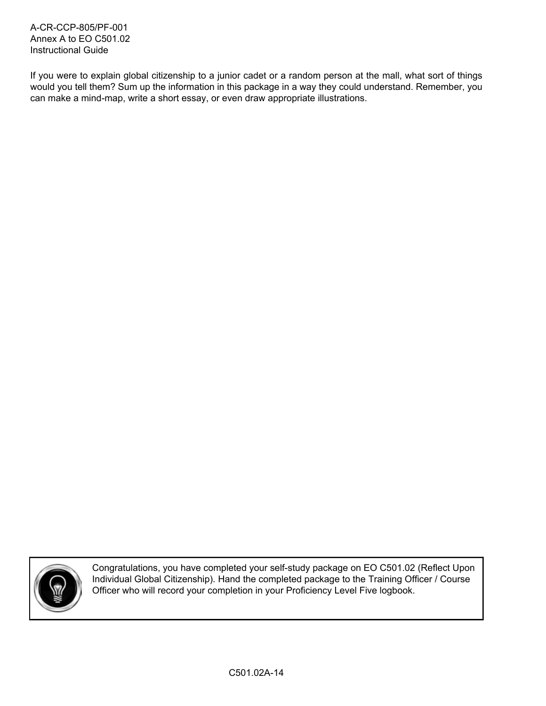If you were to explain global citizenship to a junior cadet or a random person at the mall, what sort of things would you tell them? Sum up the information in this package in a way they could understand. Remember, you can make a mind-map, write a short essay, or even draw appropriate illustrations.



Congratulations, you have completed your self-study package on EO C501.02 (Reflect Upon Individual Global Citizenship). Hand the completed package to the Training Officer / Course Officer who will record your completion in your Proficiency Level Five logbook.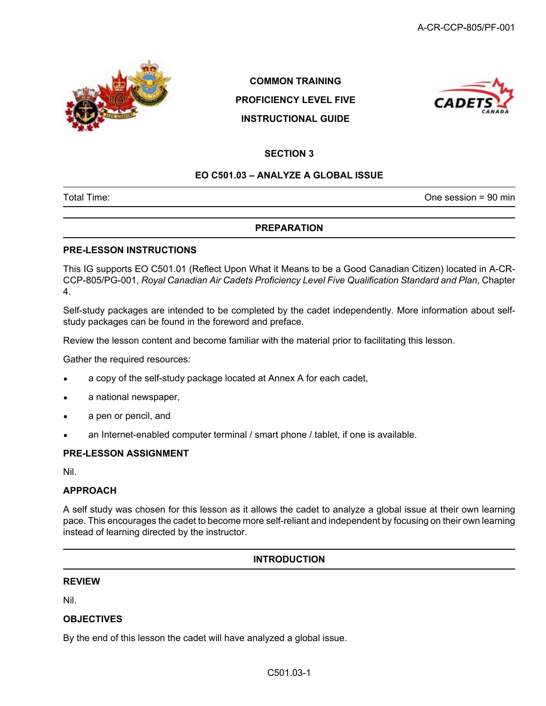

**COMMON TRAINING PROFICIENCY LEVEL FIVE INSTRUCTIONAL GUIDE**



#### **SECTION 3**

#### **EO C501.03 – ANALYZE A GLOBAL ISSUE**

Total Time: One session = 90 min

#### **PREPARATION**

#### **PRE-LESSON INSTRUCTIONS**

This IG supports EO C501.01 (Reflect Upon What it Means to be a Good Canadian Citizen) located in A-CR-CCP-805/PG-001, *Royal Canadian Air Cadets Proficiency Level Five Qualification Standard and Plan*, Chapter 4.

Self-study packages are intended to be completed by the cadet independently. More information about selfstudy packages can be found in the foreword and preface.

Review the lesson content and become familiar with the material prior to facilitating this lesson.

Gather the required resources:

- a copy of the self-study package located at Annex A for each cadet,
- a national newspaper,
- a pen or pencil, and
- an Internet-enabled computer terminal / smart phone / tablet, if one is available.

#### **PRE-LESSON ASSIGNMENT**

Nil.

#### **APPROACH**

A self study was chosen for this lesson as it allows the cadet to analyze a global issue at their own learning pace. This encourages the cadet to become more self-reliant and independent by focusing on their own learning instead of learning directed by the instructor.

#### **INTRODUCTION**

#### **REVIEW**

Nil.

#### **OBJECTIVES**

By the end of this lesson the cadet will have analyzed a global issue.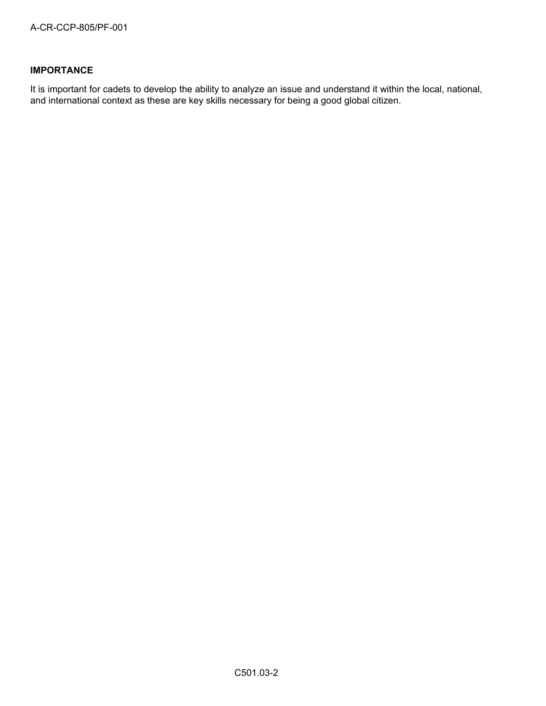#### **IMPORTANCE**

It is important for cadets to develop the ability to analyze an issue and understand it within the local, national, and international context as these are key skills necessary for being a good global citizen.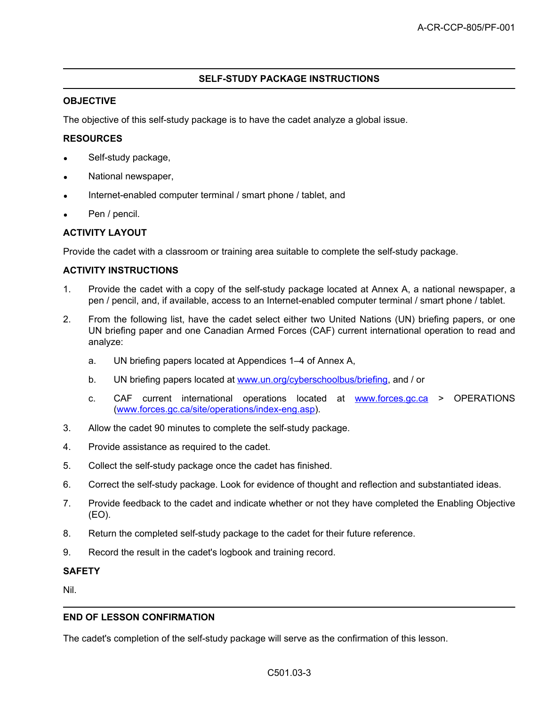#### **SELF-STUDY PACKAGE INSTRUCTIONS**

#### **OBJECTIVE**

The objective of this self-study package is to have the cadet analyze a global issue.

#### **RESOURCES**

- Self-study package,  $\bullet$
- National newspaper,
- Internet-enabled computer terminal / smart phone / tablet, and
- Pen / pencil.

#### **ACTIVITY LAYOUT**

Provide the cadet with a classroom or training area suitable to complete the self-study package.

#### **ACTIVITY INSTRUCTIONS**

- 1. Provide the cadet with a copy of the self-study package located at Annex A, a national newspaper, a pen / pencil, and, if available, access to an Internet-enabled computer terminal / smart phone / tablet.
- 2. From the following list, have the cadet select either two United Nations (UN) briefing papers, or one UN briefing paper and one Canadian Armed Forces (CAF) current international operation to read and analyze:
	- a. UN briefing papers located at Appendices 1–4 of Annex A,
	- b. UN briefing papers located at www.un.org/cyberschoolbus/briefing, and / or
	- c. CAF current international operations located at www.forces.gc.ca > OPERATIONS (www.forces.gc.ca/site/operations/index-eng.asp).
- 3. Allow the cadet 90 minutes to complete the self-study package.
- 4. Provide assistance as required to the cadet.
- 5. Collect the self-study package once the cadet has finished.
- 6. Correct the self-study package. Look for evidence of thought and reflection and substantiated ideas.
- 7. Provide feedback to the cadet and indicate whether or not they have completed the Enabling Objective (EO).
- 8. Return the completed self-study package to the cadet for their future reference.
- 9. Record the result in the cadet's logbook and training record.

#### **SAFETY**

Nil.

#### **END OF LESSON CONFIRMATION**

The cadet's completion of the self-study package will serve as the confirmation of this lesson.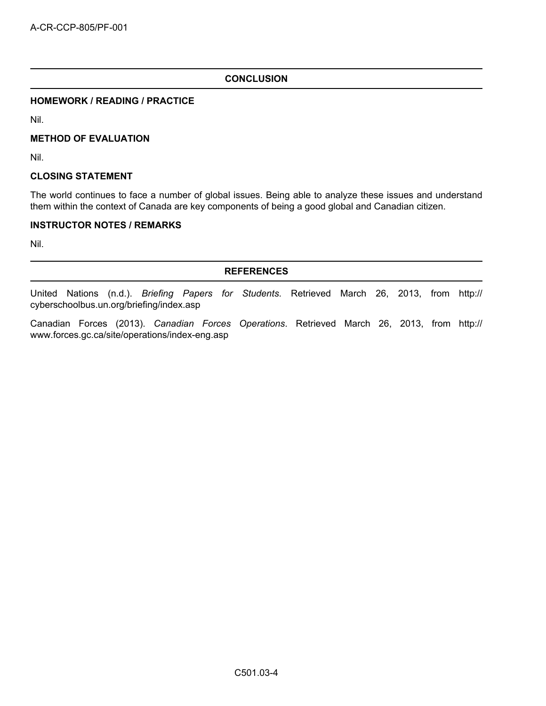#### **CONCLUSION**

#### **HOMEWORK / READING / PRACTICE**

Nil.

#### **METHOD OF EVALUATION**

Nil.

#### **CLOSING STATEMENT**

The world continues to face a number of global issues. Being able to analyze these issues and understand them within the context of Canada are key components of being a good global and Canadian citizen.

#### **INSTRUCTOR NOTES / REMARKS**

Nil.

#### **REFERENCES**

United Nations (n.d.). *Briefing Papers for Students*. Retrieved March 26, 2013, from http:// cyberschoolbus.un.org/briefing/index.asp

Canadian Forces (2013). *Canadian Forces Operations*. Retrieved March 26, 2013, from http:// www.forces.gc.ca/site/operations/index-eng.asp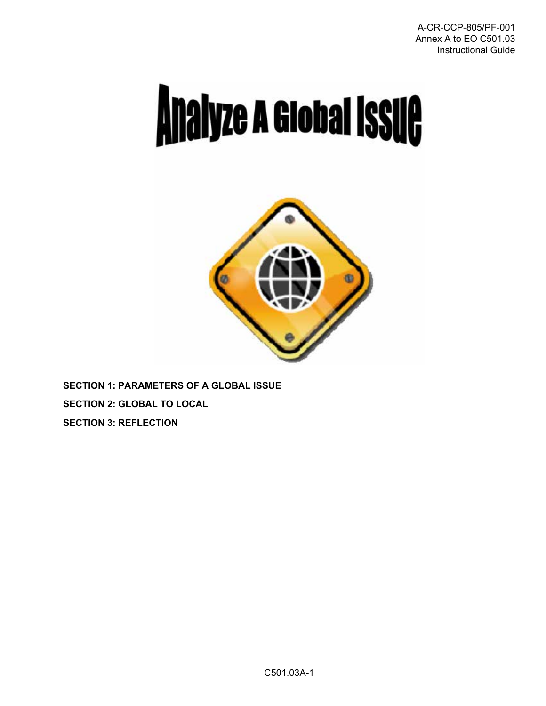# **Analyze A Global ISSUE**



**SECTION 1: PARAMETERS OF A GLOBAL ISSUE SECTION 2: GLOBAL TO LOCAL SECTION 3: REFLECTION**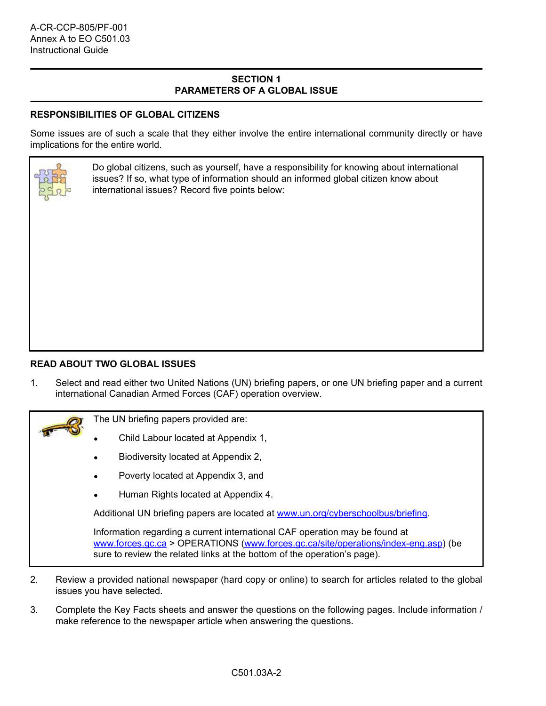#### **SECTION 1 PARAMETERS OF A GLOBAL ISSUE**

#### **RESPONSIBILITIES OF GLOBAL CITIZENS**

Some issues are of such a scale that they either involve the entire international community directly or have implications for the entire world.



Do global citizens, such as yourself, have a responsibility for knowing about international issues? If so, what type of information should an informed global citizen know about international issues? Record five points below:

#### **READ ABOUT TWO GLOBAL ISSUES**

1. Select and read either two United Nations (UN) briefing papers, or one UN briefing paper and a current international Canadian Armed Forces (CAF) operation overview.

The UN briefing papers provided are:

- Child Labour located at Appendix 1,
- Biodiversity located at Appendix 2,  $\bullet$
- Poverty located at Appendix 3, and  $\bullet$
- Human Rights located at Appendix 4.  $\bullet$

Additional UN briefing papers are located at www.un.org/cyberschoolbus/briefing.

Information regarding a current international CAF operation may be found at www.forces.gc.ca > OPERATIONS (www.forces.gc.ca/site/operations/index-eng.asp) (be sure to review the related links at the bottom of the operation's page).

- 2. Review a provided national newspaper (hard copy or online) to search for articles related to the global issues you have selected.
- 3. Complete the Key Facts sheets and answer the questions on the following pages. Include information / make reference to the newspaper article when answering the questions.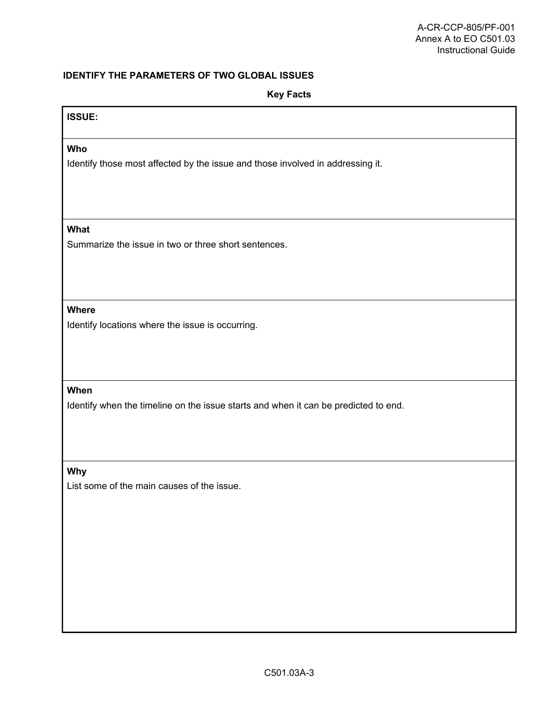#### **IDENTIFY THE PARAMETERS OF TWO GLOBAL ISSUES**

|  | Kev Facts |
|--|-----------|
|--|-----------|

| <b>ISSUE:</b>                                                                         |
|---------------------------------------------------------------------------------------|
| Who<br>Identify those most affected by the issue and those involved in addressing it. |
|                                                                                       |
| What                                                                                  |
| Summarize the issue in two or three short sentences.                                  |
| Where                                                                                 |
| Identify locations where the issue is occurring.                                      |
| When                                                                                  |
| Identify when the timeline on the issue starts and when it can be predicted to end.   |
| <b>Why</b>                                                                            |
| List some of the main causes of the issue.                                            |
|                                                                                       |
|                                                                                       |
|                                                                                       |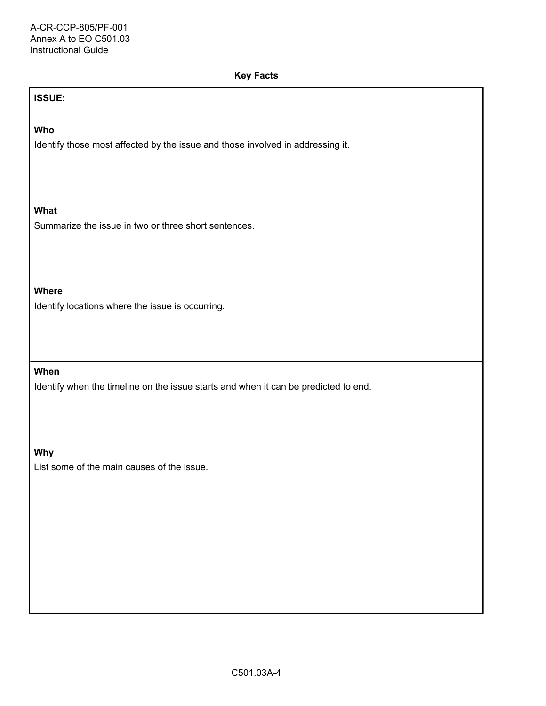#### **Key Facts**

| <b>ISSUE:</b>                                                                       |  |
|-------------------------------------------------------------------------------------|--|
| Who                                                                                 |  |
| Identify those most affected by the issue and those involved in addressing it.      |  |
|                                                                                     |  |
|                                                                                     |  |
|                                                                                     |  |
| What                                                                                |  |
| Summarize the issue in two or three short sentences.                                |  |
|                                                                                     |  |
|                                                                                     |  |
|                                                                                     |  |
| <b>Where</b>                                                                        |  |
| Identify locations where the issue is occurring.                                    |  |
|                                                                                     |  |
|                                                                                     |  |
|                                                                                     |  |
| When                                                                                |  |
| Identify when the timeline on the issue starts and when it can be predicted to end. |  |
|                                                                                     |  |
|                                                                                     |  |
| <b>Why</b>                                                                          |  |
| List some of the main causes of the issue.                                          |  |
|                                                                                     |  |
|                                                                                     |  |
|                                                                                     |  |
|                                                                                     |  |
|                                                                                     |  |
|                                                                                     |  |
|                                                                                     |  |
|                                                                                     |  |
|                                                                                     |  |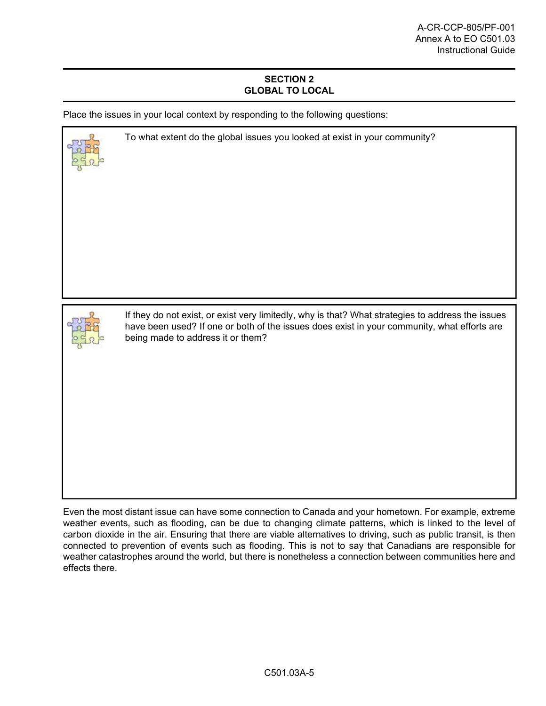#### **SECTION 2 GLOBAL TO LOCAL**

Place the issues in your local context by responding to the following questions:



Even the most distant issue can have some connection to Canada and your hometown. For example, extreme weather events, such as flooding, can be due to changing climate patterns, which is linked to the level of carbon dioxide in the air. Ensuring that there are viable alternatives to driving, such as public transit, is then connected to prevention of events such as flooding. This is not to say that Canadians are responsible for weather catastrophes around the world, but there is nonetheless a connection between communities here and effects there.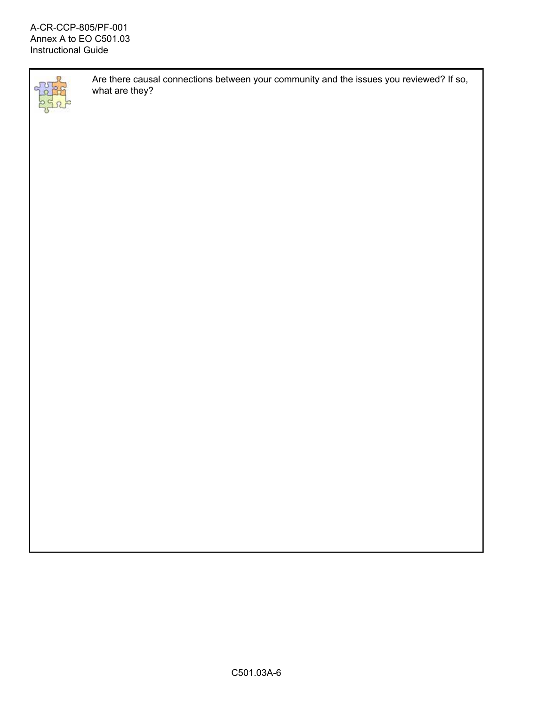

Are there causal connections between your community and the issues you reviewed? If so, what are they?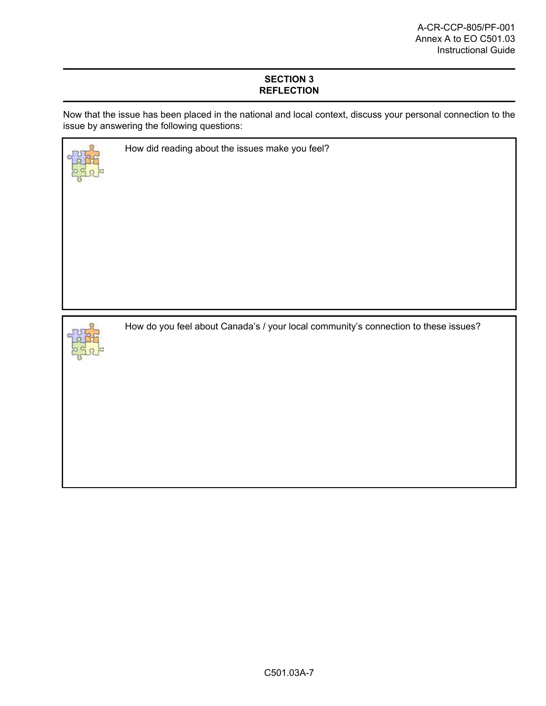#### **SECTION 3 REFLECTION**

Now that the issue has been placed in the national and local context, discuss your personal connection to the issue by answering the following questions:

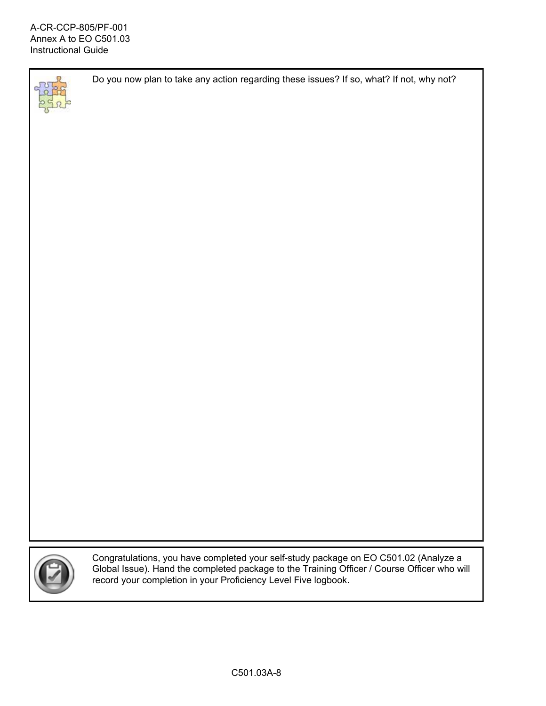

Do you now plan to take any action regarding these issues? If so, what? If not, why not?



Congratulations, you have completed your self-study package on EO C501.02 (Analyze a Global Issue). Hand the completed package to the Training Officer / Course Officer who will record your completion in your Proficiency Level Five logbook.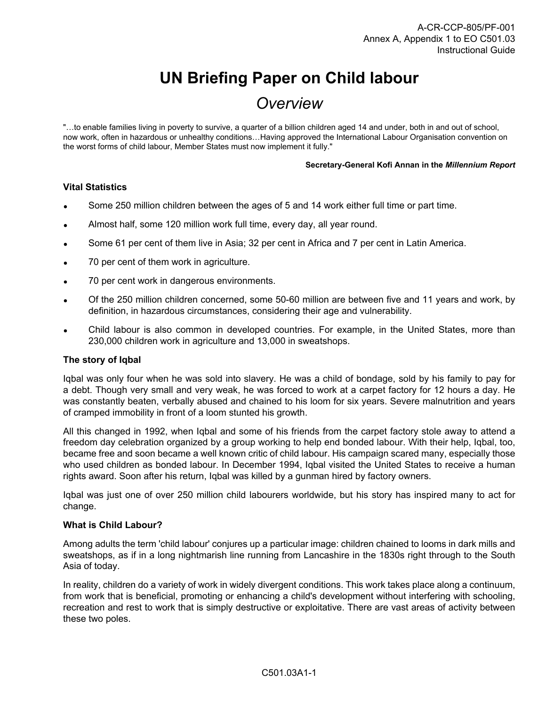## **UN Briefing Paper on Child labour**

## *Overview*

"…to enable families living in poverty to survive, a quarter of a billion children aged 14 and under, both in and out of school, now work, often in hazardous or unhealthy conditions…Having approved the International Labour Organisation convention on the worst forms of child labour, Member States must now implement it fully."

#### **Secretary-General Kofi Annan in the** *Millennium Report*

#### **Vital Statistics**

- Some 250 million children between the ages of 5 and 14 work either full time or part time.
- Almost half, some 120 million work full time, every day, all year round.
- Some 61 per cent of them live in Asia; 32 per cent in Africa and 7 per cent in Latin America.  $\ddot{\phantom{a}}$
- 70 per cent of them work in agriculture.  $\bullet$
- 70 per cent work in dangerous environments.  $\bullet$
- Of the 250 million children concerned, some 50-60 million are between five and 11 years and work, by  $\bullet$ definition, in hazardous circumstances, considering their age and vulnerability.
- Child labour is also common in developed countries. For example, in the United States, more than 230,000 children work in agriculture and 13,000 in sweatshops.

#### **The story of Iqbal**

Iqbal was only four when he was sold into slavery. He was a child of bondage, sold by his family to pay for a debt. Though very small and very weak, he was forced to work at a carpet factory for 12 hours a day. He was constantly beaten, verbally abused and chained to his loom for six years. Severe malnutrition and years of cramped immobility in front of a loom stunted his growth.

All this changed in 1992, when Iqbal and some of his friends from the carpet factory stole away to attend a freedom day celebration organized by a group working to help end bonded labour. With their help, Iqbal, too, became free and soon became a well known critic of child labour. His campaign scared many, especially those who used children as bonded labour. In December 1994, Iqbal visited the United States to receive a human rights award. Soon after his return, Iqbal was killed by a gunman hired by factory owners.

Iqbal was just one of over 250 million child labourers worldwide, but his story has inspired many to act for change.

#### **What is Child Labour?**

Among adults the term 'child labour' conjures up a particular image: children chained to looms in dark mills and sweatshops, as if in a long nightmarish line running from Lancashire in the 1830s right through to the South Asia of today.

In reality, children do a variety of work in widely divergent conditions. This work takes place along a continuum, from work that is beneficial, promoting or enhancing a child's development without interfering with schooling, recreation and rest to work that is simply destructive or exploitative. There are vast areas of activity between these two poles.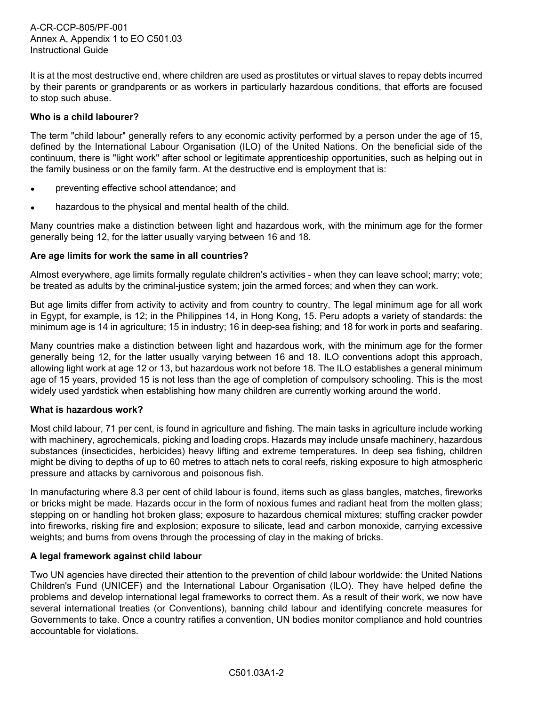It is at the most destructive end, where children are used as prostitutes or virtual slaves to repay debts incurred by their parents or grandparents or as workers in particularly hazardous conditions, that efforts are focused to stop such abuse.

#### **Who is a child labourer?**

The term "child labour" generally refers to any economic activity performed by a person under the age of 15, defined by the International Labour Organisation (ILO) of the United Nations. On the beneficial side of the continuum, there is "light work" after school or legitimate apprenticeship opportunities, such as helping out in the family business or on the family farm. At the destructive end is employment that is:

- preventing effective school attendance; and
- hazardous to the physical and mental health of the child.

Many countries make a distinction between light and hazardous work, with the minimum age for the former generally being 12, for the latter usually varying between 16 and 18.

#### **Are age limits for work the same in all countries?**

Almost everywhere, age limits formally regulate children's activities - when they can leave school; marry; vote; be treated as adults by the criminal-justice system; join the armed forces; and when they can work.

But age limits differ from activity to activity and from country to country. The legal minimum age for all work in Egypt, for example, is 12; in the Philippines 14, in Hong Kong, 15. Peru adopts a variety of standards: the minimum age is 14 in agriculture; 15 in industry; 16 in deep-sea fishing; and 18 for work in ports and seafaring.

Many countries make a distinction between light and hazardous work, with the minimum age for the former generally being 12, for the latter usually varying between 16 and 18. ILO conventions adopt this approach, allowing light work at age 12 or 13, but hazardous work not before 18. The ILO establishes a general minimum age of 15 years, provided 15 is not less than the age of completion of compulsory schooling. This is the most widely used yardstick when establishing how many children are currently working around the world.

#### **What is hazardous work?**

Most child labour, 71 per cent, is found in agriculture and fishing. The main tasks in agriculture include working with machinery, agrochemicals, picking and loading crops. Hazards may include unsafe machinery, hazardous substances (insecticides, herbicides) heavy lifting and extreme temperatures. In deep sea fishing, children might be diving to depths of up to 60 metres to attach nets to coral reefs, risking exposure to high atmospheric pressure and attacks by carnivorous and poisonous fish.

In manufacturing where 8.3 per cent of child labour is found, items such as glass bangles, matches, fireworks or bricks might be made. Hazards occur in the form of noxious fumes and radiant heat from the molten glass; stepping on or handling hot broken glass; exposure to hazardous chemical mixtures; stuffing cracker powder into fireworks, risking fire and explosion; exposure to silicate, lead and carbon monoxide, carrying excessive weights; and burns from ovens through the processing of clay in the making of bricks.

#### **A legal framework against child labour**

Two UN agencies have directed their attention to the prevention of child labour worldwide: the United Nations Children's Fund (UNICEF) and the International Labour Organisation (ILO). They have helped define the problems and develop international legal frameworks to correct them. As a result of their work, we now have several international treaties (or Conventions), banning child labour and identifying concrete measures for Governments to take. Once a country ratifies a convention, UN bodies monitor compliance and hold countries accountable for violations.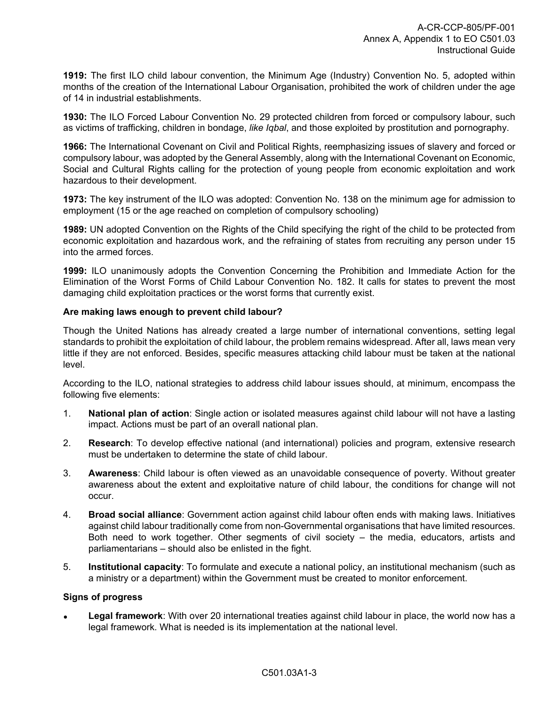**1919:** The first ILO child labour convention, the Minimum Age (Industry) Convention No. 5, adopted within months of the creation of the International Labour Organisation, prohibited the work of children under the age of 14 in industrial establishments.

**1930:** The ILO Forced Labour Convention No. 29 protected children from forced or compulsory labour, such as victims of trafficking, children in bondage, *like Iqbal*, and those exploited by prostitution and pornography.

**1966:** The International Covenant on Civil and Political Rights, reemphasizing issues of slavery and forced or compulsory labour, was adopted by the General Assembly, along with the International Covenant on Economic, Social and Cultural Rights calling for the protection of young people from economic exploitation and work hazardous to their development.

**1973:** The key instrument of the ILO was adopted: Convention No. 138 on the minimum age for admission to employment (15 or the age reached on completion of compulsory schooling)

**1989:** UN adopted Convention on the Rights of the Child specifying the right of the child to be protected from economic exploitation and hazardous work, and the refraining of states from recruiting any person under 15 into the armed forces.

**1999:** ILO unanimously adopts the Convention Concerning the Prohibition and Immediate Action for the Elimination of the Worst Forms of Child Labour Convention No. 182. It calls for states to prevent the most damaging child exploitation practices or the worst forms that currently exist.

#### **Are making laws enough to prevent child labour?**

Though the United Nations has already created a large number of international conventions, setting legal standards to prohibit the exploitation of child labour, the problem remains widespread. After all, laws mean very little if they are not enforced. Besides, specific measures attacking child labour must be taken at the national level.

According to the ILO, national strategies to address child labour issues should, at minimum, encompass the following five elements:

- 1. **National plan of action**: Single action or isolated measures against child labour will not have a lasting impact. Actions must be part of an overall national plan.
- 2. **Research**: To develop effective national (and international) policies and program, extensive research must be undertaken to determine the state of child labour.
- 3. **Awareness**: Child labour is often viewed as an unavoidable consequence of poverty. Without greater awareness about the extent and exploitative nature of child labour, the conditions for change will not occur.
- 4. **Broad social alliance**: Government action against child labour often ends with making laws. Initiatives against child labour traditionally come from non-Governmental organisations that have limited resources. Both need to work together. Other segments of civil society – the media, educators, artists and parliamentarians – should also be enlisted in the fight.
- 5. **Institutional capacity**: To formulate and execute a national policy, an institutional mechanism (such as a ministry or a department) within the Government must be created to monitor enforcement.

#### **Signs of progress**

**Legal framework**: With over 20 international treaties against child labour in place, the world now has a legal framework. What is needed is its implementation at the national level.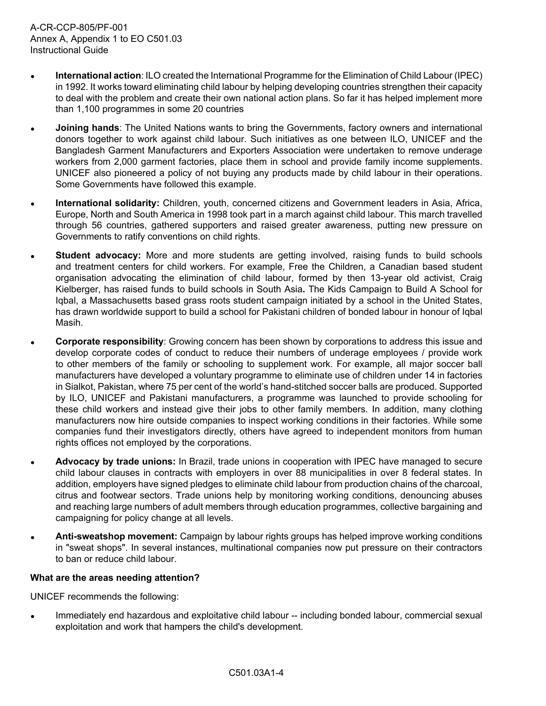- **International action**: ILO created the International Programme for the Elimination of Child Labour (IPEC) in 1992. It works toward eliminating child labour by helping developing countries strengthen their capacity to deal with the problem and create their own national action plans. So far it has helped implement more than 1,100 programmes in some 20 countries
- **Joining hands**: The United Nations wants to bring the Governments, factory owners and international donors together to work against child labour. Such initiatives as one between ILO, UNICEF and the Bangladesh Garment Manufacturers and Exporters Association were undertaken to remove underage workers from 2,000 garment factories, place them in school and provide family income supplements. UNICEF also pioneered a policy of not buying any products made by child labour in their operations. Some Governments have followed this example.
- **International solidarity:** Children, youth, concerned citizens and Government leaders in Asia, Africa,  $\bullet$ Europe, North and South America in 1998 took part in a march against child labour. This march travelled through 56 countries, gathered supporters and raised greater awareness, putting new pressure on Governments to ratify conventions on child rights.
- **Student advocacy:** More and more students are getting involved, raising funds to build schools and treatment centers for child workers. For example, Free the Children, a Canadian based student organisation advocating the elimination of child labour, formed by then 13-year old activist, Craig Kielberger, has raised funds to build schools in South Asia**.** The Kids Campaign to Build A School for Iqbal, a Massachusetts based grass roots student campaign initiated by a school in the United States, has drawn worldwide support to build a school for Pakistani children of bonded labour in honour of Iqbal Masih.
- **Corporate responsibility**: Growing concern has been shown by corporations to address this issue and  $\bullet$ develop corporate codes of conduct to reduce their numbers of underage employees / provide work to other members of the family or schooling to supplement work. For example, all major soccer ball manufacturers have developed a voluntary programme to eliminate use of children under 14 in factories in Sialkot, Pakistan, where 75 per cent of the world's hand-stitched soccer balls are produced. Supported by ILO, UNICEF and Pakistani manufacturers, a programme was launched to provide schooling for these child workers and instead give their jobs to other family members. In addition, many clothing manufacturers now hire outside companies to inspect working conditions in their factories. While some companies fund their investigators directly, others have agreed to independent monitors from human rights offices not employed by the corporations.
- **Advocacy by trade unions:** In Brazil, trade unions in cooperation with IPEC have managed to secure child labour clauses in contracts with employers in over 88 municipalities in over 8 federal states. In addition, employers have signed pledges to eliminate child labour from production chains of the charcoal, citrus and footwear sectors. Trade unions help by monitoring working conditions, denouncing abuses and reaching large numbers of adult members through education programmes, collective bargaining and campaigning for policy change at all levels.
- **Anti-sweatshop movement:** Campaign by labour rights groups has helped improve working conditions in "sweat shops". In several instances, multinational companies now put pressure on their contractors to ban or reduce child labour.

#### **What are the areas needing attention?**

UNICEF recommends the following:

Immediately end hazardous and exploitative child labour -- including bonded labour, commercial sexual exploitation and work that hampers the child's development.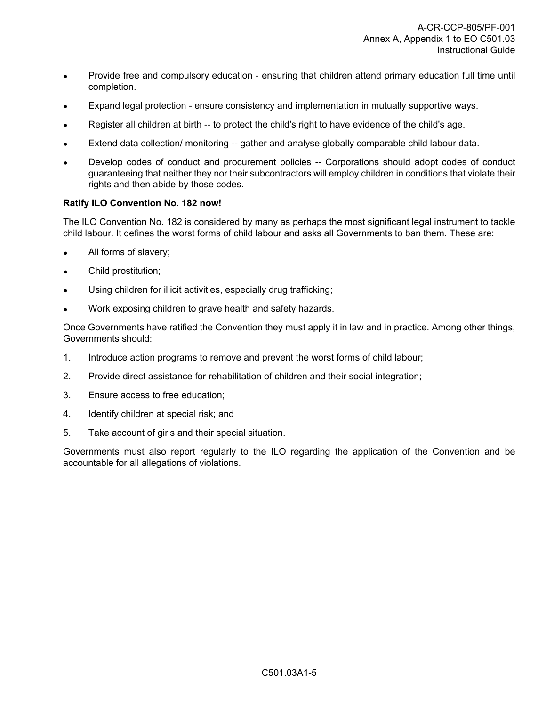- Provide free and compulsory education ensuring that children attend primary education full time until completion.
- Expand legal protection ensure consistency and implementation in mutually supportive ways.  $\bullet$
- Register all children at birth -- to protect the child's right to have evidence of the child's age.
- Extend data collection/ monitoring -- gather and analyse globally comparable child labour data.
- Develop codes of conduct and procurement policies -- Corporations should adopt codes of conduct guaranteeing that neither they nor their subcontractors will employ children in conditions that violate their rights and then abide by those codes.

#### **Ratify ILO Convention No. 182 now!**

The ILO Convention No. 182 is considered by many as perhaps the most significant legal instrument to tackle child labour. It defines the worst forms of child labour and asks all Governments to ban them. These are:

- All forms of slavery;  $\bullet$
- Child prostitution;
- Using children for illicit activities, especially drug trafficking;
- Work exposing children to grave health and safety hazards.

Once Governments have ratified the Convention they must apply it in law and in practice. Among other things, Governments should:

- 1. Introduce action programs to remove and prevent the worst forms of child labour;
- 2. Provide direct assistance for rehabilitation of children and their social integration;
- 3. Ensure access to free education;
- 4. Identify children at special risk; and
- 5. Take account of girls and their special situation.

Governments must also report regularly to the ILO regarding the application of the Convention and be accountable for all allegations of violations.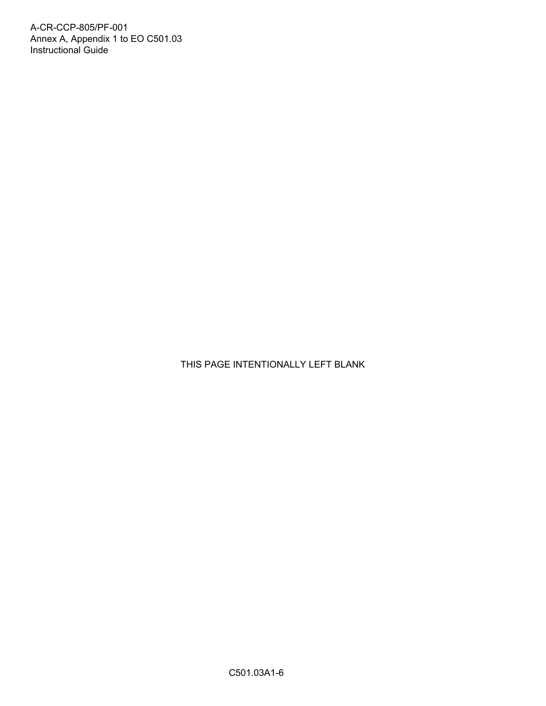A-CR-CCP-805/PF-001 Annex A, Appendix 1 to EO C501.03 Instructional Guide

THIS PAGE INTENTIONALLY LEFT BLANK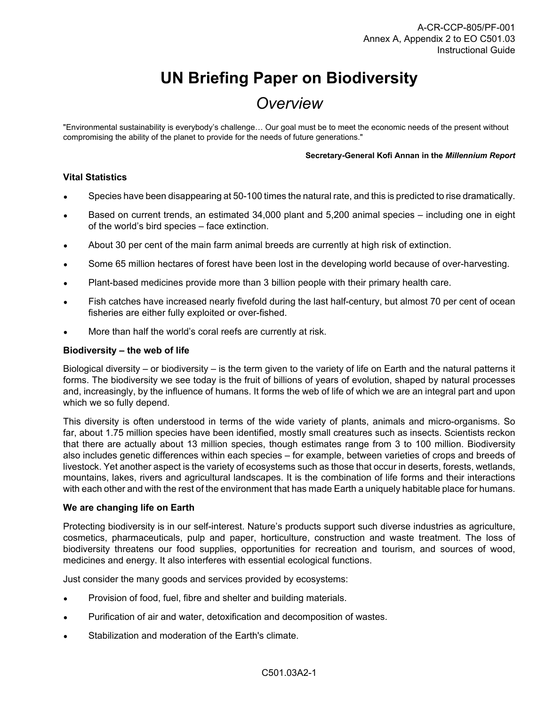# **UN Briefing Paper on Biodiversity**

## *Overview*

"Environmental sustainability is everybody's challenge… Our goal must be to meet the economic needs of the present without compromising the ability of the planet to provide for the needs of future generations."

#### **Secretary-General Kofi Annan in the** *Millennium Report*

#### **Vital Statistics**

- Species have been disappearing at 50-100 times the natural rate, and this is predicted to rise dramatically.
- Based on current trends, an estimated 34,000 plant and 5,200 animal species including one in eight of the world's bird species – face extinction.
- About 30 per cent of the main farm animal breeds are currently at high risk of extinction.
- Some 65 million hectares of forest have been lost in the developing world because of over-harvesting.
- Plant-based medicines provide more than 3 billion people with their primary health care.
- Fish catches have increased nearly fivefold during the last half-century, but almost 70 per cent of ocean fisheries are either fully exploited or over-fished.
- More than half the world's coral reefs are currently at risk.

#### **Biodiversity – the web of life**

Biological diversity – or biodiversity – is the term given to the variety of life on Earth and the natural patterns it forms. The biodiversity we see today is the fruit of billions of years of evolution, shaped by natural processes and, increasingly, by the influence of humans. It forms the web of life of which we are an integral part and upon which we so fully depend.

This diversity is often understood in terms of the wide variety of plants, animals and micro-organisms. So far, about 1.75 million species have been identified, mostly small creatures such as insects. Scientists reckon that there are actually about 13 million species, though estimates range from 3 to 100 million. Biodiversity also includes genetic differences within each species – for example, between varieties of crops and breeds of livestock. Yet another aspect is the variety of ecosystems such as those that occur in deserts, forests, wetlands, mountains, lakes, rivers and agricultural landscapes. It is the combination of life forms and their interactions with each other and with the rest of the environment that has made Earth a uniquely habitable place for humans.

#### **We are changing life on Earth**

Protecting biodiversity is in our self-interest. Nature's products support such diverse industries as agriculture, cosmetics, pharmaceuticals, pulp and paper, horticulture, construction and waste treatment. The loss of biodiversity threatens our food supplies, opportunities for recreation and tourism, and sources of wood, medicines and energy. It also interferes with essential ecological functions.

Just consider the many goods and services provided by ecosystems:

- Provision of food, fuel, fibre and shelter and building materials.
- Purification of air and water, detoxification and decomposition of wastes.
- Stabilization and moderation of the Earth's climate.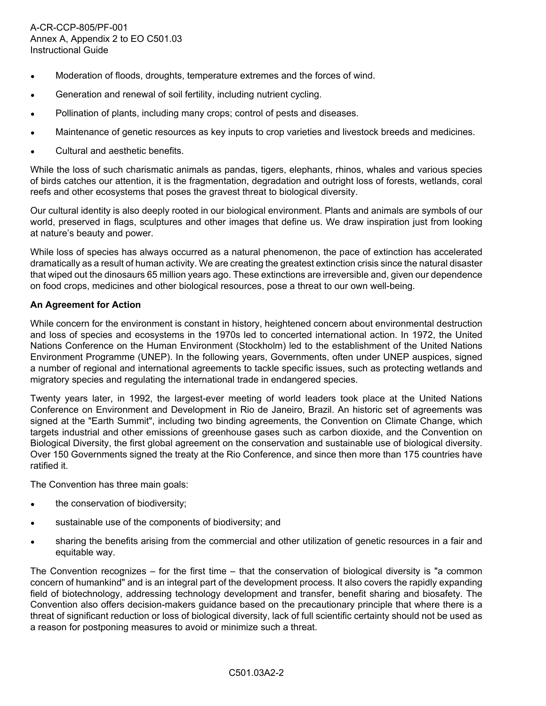A-CR-CCP-805/PF-001 Annex A, Appendix 2 to EO C501.03 Instructional Guide

- Moderation of floods, droughts, temperature extremes and the forces of wind.
- Generation and renewal of soil fertility, including nutrient cycling.
- Pollination of plants, including many crops; control of pests and diseases.
- Maintenance of genetic resources as key inputs to crop varieties and livestock breeds and medicines.
- Cultural and aesthetic benefits.

While the loss of such charismatic animals as pandas, tigers, elephants, rhinos, whales and various species of birds catches our attention, it is the fragmentation, degradation and outright loss of forests, wetlands, coral reefs and other ecosystems that poses the gravest threat to biological diversity.

Our cultural identity is also deeply rooted in our biological environment. Plants and animals are symbols of our world, preserved in flags, sculptures and other images that define us. We draw inspiration just from looking at nature's beauty and power.

While loss of species has always occurred as a natural phenomenon, the pace of extinction has accelerated dramatically as a result of human activity. We are creating the greatest extinction crisis since the natural disaster that wiped out the dinosaurs 65 million years ago. These extinctions are irreversible and, given our dependence on food crops, medicines and other biological resources, pose a threat to our own well-being.

#### **An Agreement for Action**

While concern for the environment is constant in history, heightened concern about environmental destruction and loss of species and ecosystems in the 1970s led to concerted international action. In 1972, the United Nations Conference on the Human Environment (Stockholm) led to the establishment of the United Nations Environment Programme (UNEP). In the following years, Governments, often under UNEP auspices, signed a number of regional and international agreements to tackle specific issues, such as protecting wetlands and migratory species and regulating the international trade in endangered species.

Twenty years later, in 1992, the largest-ever meeting of world leaders took place at the United Nations Conference on Environment and Development in Rio de Janeiro, Brazil. An historic set of agreements was signed at the "Earth Summit", including two binding agreements, the Convention on Climate Change, which targets industrial and other emissions of greenhouse gases such as carbon dioxide, and the Convention on Biological Diversity, the first global agreement on the conservation and sustainable use of biological diversity. Over 150 Governments signed the treaty at the Rio Conference, and since then more than 175 countries have ratified it.

The Convention has three main goals:

- the conservation of biodiversity;  $\bullet$
- sustainable use of the components of biodiversity; and
- sharing the benefits arising from the commercial and other utilization of genetic resources in a fair and equitable way.

The Convention recognizes – for the first time – that the conservation of biological diversity is "a common concern of humankind" and is an integral part of the development process. It also covers the rapidly expanding field of biotechnology, addressing technology development and transfer, benefit sharing and biosafety. The Convention also offers decision-makers guidance based on the precautionary principle that where there is a threat of significant reduction or loss of biological diversity, lack of full scientific certainty should not be used as a reason for postponing measures to avoid or minimize such a threat.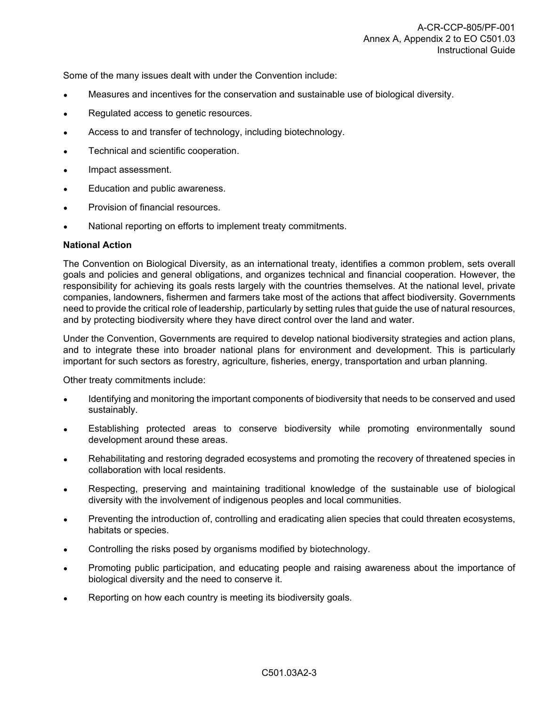Some of the many issues dealt with under the Convention include:

- Measures and incentives for the conservation and sustainable use of biological diversity.
- Regulated access to genetic resources.
- Access to and transfer of technology, including biotechnology.
- Technical and scientific cooperation.
- Impact assessment.
- Education and public awareness.
- Provision of financial resources.
- National reporting on efforts to implement treaty commitments.

#### **National Action**

The Convention on Biological Diversity, as an international treaty, identifies a common problem, sets overall goals and policies and general obligations, and organizes technical and financial cooperation. However, the responsibility for achieving its goals rests largely with the countries themselves. At the national level, private companies, landowners, fishermen and farmers take most of the actions that affect biodiversity. Governments need to provide the critical role of leadership, particularly by setting rules that guide the use of natural resources, and by protecting biodiversity where they have direct control over the land and water.

Under the Convention, Governments are required to develop national biodiversity strategies and action plans, and to integrate these into broader national plans for environment and development. This is particularly important for such sectors as forestry, agriculture, fisheries, energy, transportation and urban planning.

Other treaty commitments include:

- Identifying and monitoring the important components of biodiversity that needs to be conserved and used sustainably.
- Establishing protected areas to conserve biodiversity while promoting environmentally sound  $\bullet$ development around these areas.
- Rehabilitating and restoring degraded ecosystems and promoting the recovery of threatened species in collaboration with local residents.
- Respecting, preserving and maintaining traditional knowledge of the sustainable use of biological diversity with the involvement of indigenous peoples and local communities.
- Preventing the introduction of, controlling and eradicating alien species that could threaten ecosystems, habitats or species.
- Controlling the risks posed by organisms modified by biotechnology.  $\bullet$
- Promoting public participation, and educating people and raising awareness about the importance of biological diversity and the need to conserve it.
- Reporting on how each country is meeting its biodiversity goals. $\bullet$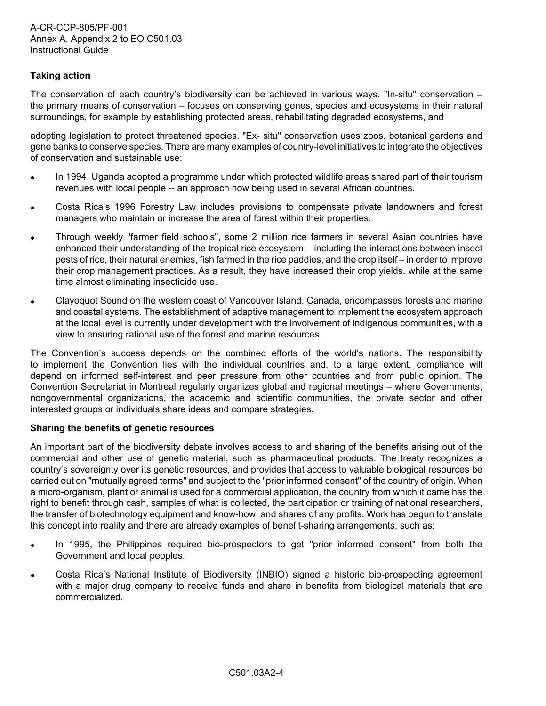#### **Taking action**

The conservation of each country's biodiversity can be achieved in various ways. "In-situ" conservation – the primary means of conservation – focuses on conserving genes, species and ecosystems in their natural surroundings, for example by establishing protected areas, rehabilitating degraded ecosystems, and

adopting legislation to protect threatened species. "Ex- situ" conservation uses zoos, botanical gardens and gene banks to conserve species. There are many examples of country-level initiatives to integrate the objectives of conservation and sustainable use:

- In 1994, Uganda adopted a programme under which protected wildlife areas shared part of their tourism  $\bullet$ revenues with local people -- an approach now being used in several African countries.
- Costa Rica's 1996 Forestry Law includes provisions to compensate private landowners and forest managers who maintain or increase the area of forest within their properties.
- Through weekly "farmer field schools", some 2 million rice farmers in several Asian countries have enhanced their understanding of the tropical rice ecosystem – including the interactions between insect pests of rice, their natural enemies, fish farmed in the rice paddies, and the crop itself – in order to improve their crop management practices. As a result, they have increased their crop yields, while at the same time almost eliminating insecticide use.
- Clayoquot Sound on the western coast of Vancouver Island, Canada, encompasses forests and marine and coastal systems. The establishment of adaptive management to implement the ecosystem approach at the local level is currently under development with the involvement of indigenous communities, with a view to ensuring rational use of the forest and marine resources.

The Convention's success depends on the combined efforts of the world's nations. The responsibility to implement the Convention lies with the individual countries and, to a large extent, compliance will depend on informed self-interest and peer pressure from other countries and from public opinion. The Convention Secretariat in Montreal regularly organizes global and regional meetings – where Governments, nongovernmental organizations, the academic and scientific communities, the private sector and other interested groups or individuals share ideas and compare strategies.

#### **Sharing the benefits of genetic resources**

An important part of the biodiversity debate involves access to and sharing of the benefits arising out of the commercial and other use of genetic material, such as pharmaceutical products. The treaty recognizes a country's sovereignty over its genetic resources, and provides that access to valuable biological resources be carried out on "mutually agreed terms" and subject to the "prior informed consent" of the country of origin. When a micro-organism, plant or animal is used for a commercial application, the country from which it came has the right to benefit through cash, samples of what is collected, the participation or training of national researchers, the transfer of biotechnology equipment and know-how, and shares of any profits. Work has begun to translate this concept into reality and there are already examples of benefit-sharing arrangements, such as:

- In 1995, the Philippines required bio-prospectors to get "prior informed consent" from both the  $\bullet$ Government and local peoples.
- Costa Rica's National Institute of Biodiversity (INBIO) signed a historic bio-prospecting agreement with a major drug company to receive funds and share in benefits from biological materials that are commercialized.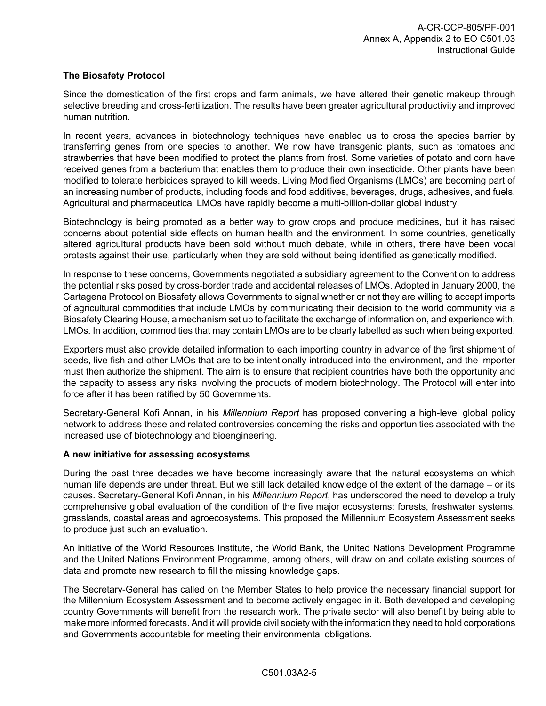#### **The Biosafety Protocol**

Since the domestication of the first crops and farm animals, we have altered their genetic makeup through selective breeding and cross-fertilization. The results have been greater agricultural productivity and improved human nutrition.

In recent years, advances in biotechnology techniques have enabled us to cross the species barrier by transferring genes from one species to another. We now have transgenic plants, such as tomatoes and strawberries that have been modified to protect the plants from frost. Some varieties of potato and corn have received genes from a bacterium that enables them to produce their own insecticide. Other plants have been modified to tolerate herbicides sprayed to kill weeds. Living Modified Organisms (LMOs) are becoming part of an increasing number of products, including foods and food additives, beverages, drugs, adhesives, and fuels. Agricultural and pharmaceutical LMOs have rapidly become a multi-billion-dollar global industry.

Biotechnology is being promoted as a better way to grow crops and produce medicines, but it has raised concerns about potential side effects on human health and the environment. In some countries, genetically altered agricultural products have been sold without much debate, while in others, there have been vocal protests against their use, particularly when they are sold without being identified as genetically modified.

In response to these concerns, Governments negotiated a subsidiary agreement to the Convention to address the potential risks posed by cross-border trade and accidental releases of LMOs. Adopted in January 2000, the Cartagena Protocol on Biosafety allows Governments to signal whether or not they are willing to accept imports of agricultural commodities that include LMOs by communicating their decision to the world community via a Biosafety Clearing House, a mechanism set up to facilitate the exchange of information on, and experience with, LMOs. In addition, commodities that may contain LMOs are to be clearly labelled as such when being exported.

Exporters must also provide detailed information to each importing country in advance of the first shipment of seeds, live fish and other LMOs that are to be intentionally introduced into the environment, and the importer must then authorize the shipment. The aim is to ensure that recipient countries have both the opportunity and the capacity to assess any risks involving the products of modern biotechnology. The Protocol will enter into force after it has been ratified by 50 Governments.

Secretary-General Kofi Annan, in his *Millennium Report* has proposed convening a high-level global policy network to address these and related controversies concerning the risks and opportunities associated with the increased use of biotechnology and bioengineering.

#### **A new initiative for assessing ecosystems**

During the past three decades we have become increasingly aware that the natural ecosystems on which human life depends are under threat. But we still lack detailed knowledge of the extent of the damage – or its causes. Secretary-General Kofi Annan, in his *Millennium Report*, has underscored the need to develop a truly comprehensive global evaluation of the condition of the five major ecosystems: forests, freshwater systems, grasslands, coastal areas and agroecosystems. This proposed the Millennium Ecosystem Assessment seeks to produce just such an evaluation.

An initiative of the World Resources Institute, the World Bank, the United Nations Development Programme and the United Nations Environment Programme, among others, will draw on and collate existing sources of data and promote new research to fill the missing knowledge gaps.

The Secretary-General has called on the Member States to help provide the necessary financial support for the Millennium Ecosystem Assessment and to become actively engaged in it. Both developed and developing country Governments will benefit from the research work. The private sector will also benefit by being able to make more informed forecasts. And it will provide civil society with the information they need to hold corporations and Governments accountable for meeting their environmental obligations.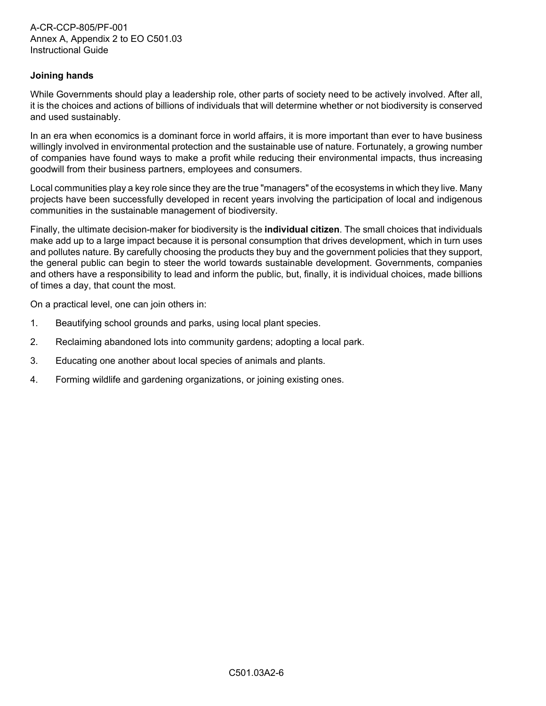#### **Joining hands**

While Governments should play a leadership role, other parts of society need to be actively involved. After all, it is the choices and actions of billions of individuals that will determine whether or not biodiversity is conserved and used sustainably.

In an era when economics is a dominant force in world affairs, it is more important than ever to have business willingly involved in environmental protection and the sustainable use of nature. Fortunately, a growing number of companies have found ways to make a profit while reducing their environmental impacts, thus increasing goodwill from their business partners, employees and consumers.

Local communities play a key role since they are the true "managers" of the ecosystems in which they live. Many projects have been successfully developed in recent years involving the participation of local and indigenous communities in the sustainable management of biodiversity.

Finally, the ultimate decision-maker for biodiversity is the **individual citizen**. The small choices that individuals make add up to a large impact because it is personal consumption that drives development, which in turn uses and pollutes nature. By carefully choosing the products they buy and the government policies that they support, the general public can begin to steer the world towards sustainable development. Governments, companies and others have a responsibility to lead and inform the public, but, finally, it is individual choices, made billions of times a day, that count the most.

On a practical level, one can join others in:

- 1. Beautifying school grounds and parks, using local plant species.
- 2. Reclaiming abandoned lots into community gardens; adopting a local park.
- 3. Educating one another about local species of animals and plants.
- 4. Forming wildlife and gardening organizations, or joining existing ones.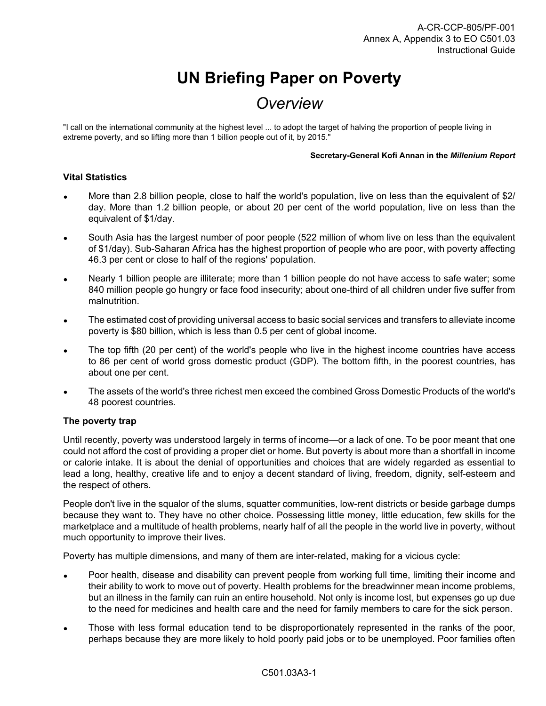# **UN Briefing Paper on Poverty**

## *Overview*

"I call on the international community at the highest level ... to adopt the target of halving the proportion of people living in extreme poverty, and so lifting more than 1 billion people out of it, by 2015."

#### **Secretary-General Kofi Annan in the** *Millenium Report*

#### **Vital Statistics**

- More than 2.8 billion people, close to half the world's population, live on less than the equivalent of \$2/ day. More than 1.2 billion people, or about 20 per cent of the world population, live on less than the equivalent of \$1/day.
- South Asia has the largest number of poor people (522 million of whom live on less than the equivalent of \$1/day). Sub-Saharan Africa has the highest proportion of people who are poor, with poverty affecting 46.3 per cent or close to half of the regions' population.
- Nearly 1 billion people are illiterate; more than 1 billion people do not have access to safe water; some 840 million people go hungry or face food insecurity; about one-third of all children under five suffer from malnutrition.
- The estimated cost of providing universal access to basic social services and transfers to alleviate income poverty is \$80 billion, which is less than 0.5 per cent of global income.
- The top fifth (20 per cent) of the world's people who live in the highest income countries have access to 86 per cent of world gross domestic product (GDP). The bottom fifth, in the poorest countries, has about one per cent.
- The assets of the world's three richest men exceed the combined Gross Domestic Products of the world's 48 poorest countries.

#### **The poverty trap**

Until recently, poverty was understood largely in terms of income—or a lack of one. To be poor meant that one could not afford the cost of providing a proper diet or home. But poverty is about more than a shortfall in income or calorie intake. It is about the denial of opportunities and choices that are widely regarded as essential to lead a long, healthy, creative life and to enjoy a decent standard of living, freedom, dignity, self-esteem and the respect of others.

People don't live in the squalor of the slums, squatter communities, low-rent districts or beside garbage dumps because they want to. They have no other choice. Possessing little money, little education, few skills for the marketplace and a multitude of health problems, nearly half of all the people in the world live in poverty, without much opportunity to improve their lives.

Poverty has multiple dimensions, and many of them are inter-related, making for a vicious cycle:

- Poor health, disease and disability can prevent people from working full time, limiting their income and their ability to work to move out of poverty. Health problems for the breadwinner mean income problems, but an illness in the family can ruin an entire household. Not only is income lost, but expenses go up due to the need for medicines and health care and the need for family members to care for the sick person.
- Those with less formal education tend to be disproportionately represented in the ranks of the poor,  $\bullet$ perhaps because they are more likely to hold poorly paid jobs or to be unemployed. Poor families often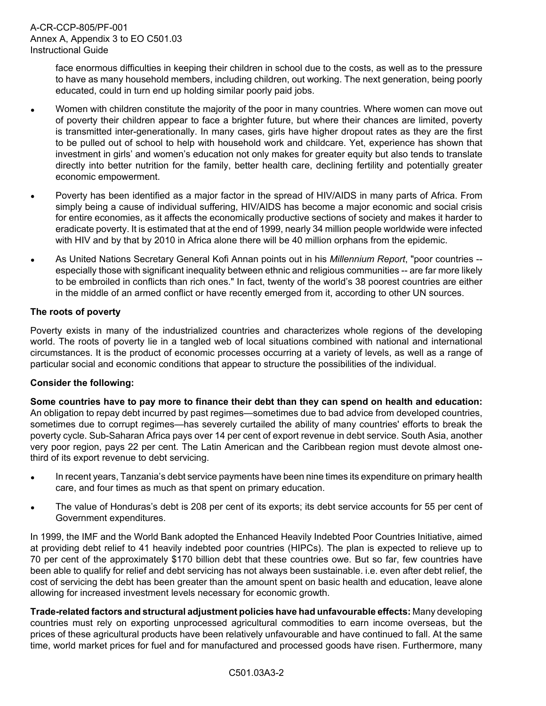face enormous difficulties in keeping their children in school due to the costs, as well as to the pressure to have as many household members, including children, out working. The next generation, being poorly educated, could in turn end up holding similar poorly paid jobs.

- Women with children constitute the majority of the poor in many countries. Where women can move out of poverty their children appear to face a brighter future, but where their chances are limited, poverty is transmitted inter-generationally. In many cases, girls have higher dropout rates as they are the first to be pulled out of school to help with household work and childcare. Yet, experience has shown that investment in girls' and women's education not only makes for greater equity but also tends to translate directly into better nutrition for the family, better health care, declining fertility and potentially greater economic empowerment.
- Poverty has been identified as a major factor in the spread of HIV/AIDS in many parts of Africa. From simply being a cause of individual suffering, HIV/AIDS has become a major economic and social crisis for entire economies, as it affects the economically productive sections of society and makes it harder to eradicate poverty. It is estimated that at the end of 1999, nearly 34 million people worldwide were infected with HIV and by that by 2010 in Africa alone there will be 40 million orphans from the epidemic.
- As United Nations Secretary General Kofi Annan points out in his *Millennium Report*, "poor countries especially those with significant inequality between ethnic and religious communities -- are far more likely to be embroiled in conflicts than rich ones." In fact, twenty of the world's 38 poorest countries are either in the middle of an armed conflict or have recently emerged from it, according to other UN sources.

#### **The roots of poverty**

Poverty exists in many of the industrialized countries and characterizes whole regions of the developing world. The roots of poverty lie in a tangled web of local situations combined with national and international circumstances. It is the product of economic processes occurring at a variety of levels, as well as a range of particular social and economic conditions that appear to structure the possibilities of the individual.

#### **Consider the following:**

**Some countries have to pay more to finance their debt than they can spend on health and education:** An obligation to repay debt incurred by past regimes—sometimes due to bad advice from developed countries, sometimes due to corrupt regimes—has severely curtailed the ability of many countries' efforts to break the poverty cycle. Sub-Saharan Africa pays over 14 per cent of export revenue in debt service. South Asia, another very poor region, pays 22 per cent. The Latin American and the Caribbean region must devote almost onethird of its export revenue to debt servicing.

- In recent years, Tanzania's debt service payments have been nine times its expenditure on primary health  $\bullet$ care, and four times as much as that spent on primary education.
- The value of Honduras's debt is 208 per cent of its exports; its debt service accounts for 55 per cent of  $\bullet$ Government expenditures.

In 1999, the IMF and the World Bank adopted the Enhanced Heavily Indebted Poor Countries Initiative, aimed at providing debt relief to 41 heavily indebted poor countries (HIPCs). The plan is expected to relieve up to 70 per cent of the approximately \$170 billion debt that these countries owe. But so far, few countries have been able to qualify for relief and debt servicing has not always been sustainable. i.e. even after debt relief, the cost of servicing the debt has been greater than the amount spent on basic health and education, leave alone allowing for increased investment levels necessary for economic growth.

**Trade-related factors and structural adjustment policies have had unfavourable effects:** Many developing countries must rely on exporting unprocessed agricultural commodities to earn income overseas, but the prices of these agricultural products have been relatively unfavourable and have continued to fall. At the same time, world market prices for fuel and for manufactured and processed goods have risen. Furthermore, many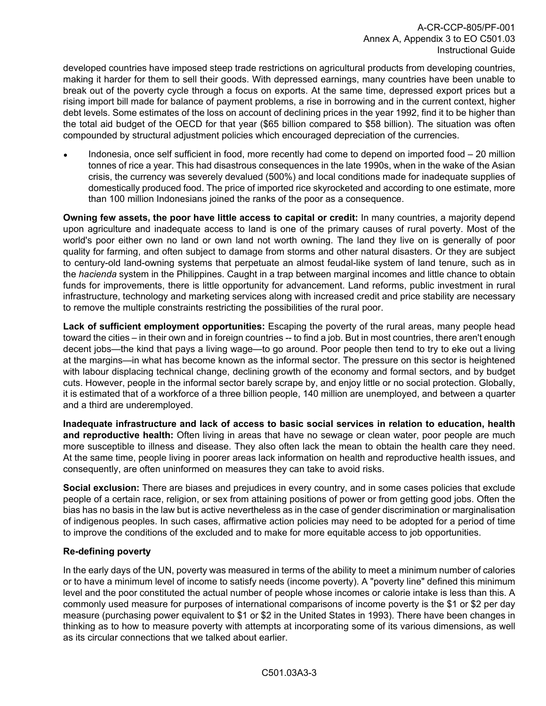developed countries have imposed steep trade restrictions on agricultural products from developing countries, making it harder for them to sell their goods. With depressed earnings, many countries have been unable to break out of the poverty cycle through a focus on exports. At the same time, depressed export prices but a rising import bill made for balance of payment problems, a rise in borrowing and in the current context, higher debt levels. Some estimates of the loss on account of declining prices in the year 1992, find it to be higher than the total aid budget of the OECD for that year (\$65 billion compared to \$58 billion). The situation was often compounded by structural adjustment policies which encouraged depreciation of the currencies.

Indonesia, once self sufficient in food, more recently had come to depend on imported food – 20 million tonnes of rice a year. This had disastrous consequences in the late 1990s, when in the wake of the Asian crisis, the currency was severely devalued (500%) and local conditions made for inadequate supplies of domestically produced food. The price of imported rice skyrocketed and according to one estimate, more than 100 million Indonesians joined the ranks of the poor as a consequence.

**Owning few assets, the poor have little access to capital or credit:** In many countries, a majority depend upon agriculture and inadequate access to land is one of the primary causes of rural poverty. Most of the world's poor either own no land or own land not worth owning. The land they live on is generally of poor quality for farming, and often subject to damage from storms and other natural disasters. Or they are subject to century-old land-owning systems that perpetuate an almost feudal-like system of land tenure, such as in the *hacienda* system in the Philippines. Caught in a trap between marginal incomes and little chance to obtain funds for improvements, there is little opportunity for advancement. Land reforms, public investment in rural infrastructure, technology and marketing services along with increased credit and price stability are necessary to remove the multiple constraints restricting the possibilities of the rural poor.

**Lack of sufficient employment opportunities:** Escaping the poverty of the rural areas, many people head toward the cities – in their own and in foreign countries -- to find a job. But in most countries, there aren't enough decent jobs—the kind that pays a living wage—to go around. Poor people then tend to try to eke out a living at the margins—in what has become known as the informal sector. The pressure on this sector is heightened with labour displacing technical change, declining growth of the economy and formal sectors, and by budget cuts. However, people in the informal sector barely scrape by, and enjoy little or no social protection. Globally, it is estimated that of a workforce of a three billion people, 140 million are unemployed, and between a quarter and a third are underemployed.

**Inadequate infrastructure and lack of access to basic social services in relation to education, health and reproductive health:** Often living in areas that have no sewage or clean water, poor people are much more susceptible to illness and disease. They also often lack the mean to obtain the health care they need. At the same time, people living in poorer areas lack information on health and reproductive health issues, and consequently, are often uninformed on measures they can take to avoid risks.

**Social exclusion:** There are biases and prejudices in every country, and in some cases policies that exclude people of a certain race, religion, or sex from attaining positions of power or from getting good jobs. Often the bias has no basis in the law but is active nevertheless as in the case of gender discrimination or marginalisation of indigenous peoples. In such cases, affirmative action policies may need to be adopted for a period of time to improve the conditions of the excluded and to make for more equitable access to job opportunities.

#### **Re-defining poverty**

In the early days of the UN, poverty was measured in terms of the ability to meet a minimum number of calories or to have a minimum level of income to satisfy needs (income poverty). A "poverty line" defined this minimum level and the poor constituted the actual number of people whose incomes or calorie intake is less than this. A commonly used measure for purposes of international comparisons of income poverty is the \$1 or \$2 per day measure (purchasing power equivalent to \$1 or \$2 in the United States in 1993). There have been changes in thinking as to how to measure poverty with attempts at incorporating some of its various dimensions, as well as its circular connections that we talked about earlier.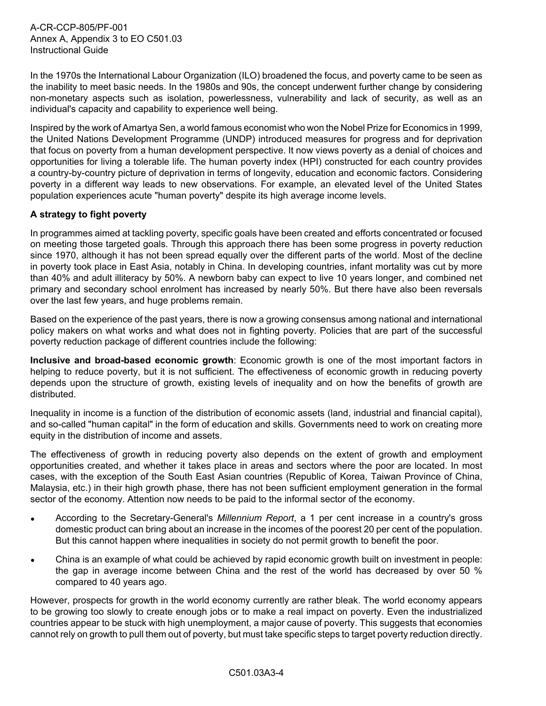A-CR-CCP-805/PF-001 Annex A, Appendix 3 to EO C501.03 Instructional Guide

In the 1970s the International Labour Organization (ILO) broadened the focus, and poverty came to be seen as the inability to meet basic needs. In the 1980s and 90s, the concept underwent further change by considering non-monetary aspects such as isolation, powerlessness, vulnerability and lack of security, as well as an individual's capacity and capability to experience well being.

Inspired by the work of Amartya Sen, a world famous economist who won the Nobel Prize for Economics in 1999, the United Nations Development Programme (UNDP) introduced measures for progress and for deprivation that focus on poverty from a human development perspective. It now views poverty as a denial of choices and opportunities for living a tolerable life. The human poverty index (HPI) constructed for each country provides a country-by-country picture of deprivation in terms of longevity, education and economic factors. Considering poverty in a different way leads to new observations. For example, an elevated level of the United States population experiences acute "human poverty" despite its high average income levels.

#### **A strategy to fight poverty**

In programmes aimed at tackling poverty, specific goals have been created and efforts concentrated or focused on meeting those targeted goals. Through this approach there has been some progress in poverty reduction since 1970, although it has not been spread equally over the different parts of the world. Most of the decline in poverty took place in East Asia, notably in China. In developing countries, infant mortality was cut by more than 40% and adult illiteracy by 50%. A newborn baby can expect to live 10 years longer, and combined net primary and secondary school enrolment has increased by nearly 50%. But there have also been reversals over the last few years, and huge problems remain.

Based on the experience of the past years, there is now a growing consensus among national and international policy makers on what works and what does not in fighting poverty. Policies that are part of the successful poverty reduction package of different countries include the following:

**Inclusive and broad-based economic growth**: Economic growth is one of the most important factors in helping to reduce poverty, but it is not sufficient. The effectiveness of economic growth in reducing poverty depends upon the structure of growth, existing levels of inequality and on how the benefits of growth are distributed.

Inequality in income is a function of the distribution of economic assets (land, industrial and financial capital), and so-called "human capital" in the form of education and skills. Governments need to work on creating more equity in the distribution of income and assets.

The effectiveness of growth in reducing poverty also depends on the extent of growth and employment opportunities created, and whether it takes place in areas and sectors where the poor are located. In most cases, with the exception of the South East Asian countries (Republic of Korea, Taiwan Province of China, Malaysia, etc.) in their high growth phase, there has not been sufficient employment generation in the formal sector of the economy. Attention now needs to be paid to the informal sector of the economy.

- According to the Secretary-General's *Millennium Report*, a 1 per cent increase in a country's gross domestic product can bring about an increase in the incomes of the poorest 20 per cent of the population. But this cannot happen where inequalities in society do not permit growth to benefit the poor.
- China is an example of what could be achieved by rapid economic growth built on investment in people:  $\bullet$ the gap in average income between China and the rest of the world has decreased by over 50 % compared to 40 years ago.

However, prospects for growth in the world economy currently are rather bleak. The world economy appears to be growing too slowly to create enough jobs or to make a real impact on poverty. Even the industrialized countries appear to be stuck with high unemployment, a major cause of poverty. This suggests that economies cannot rely on growth to pull them out of poverty, but must take specific steps to target poverty reduction directly.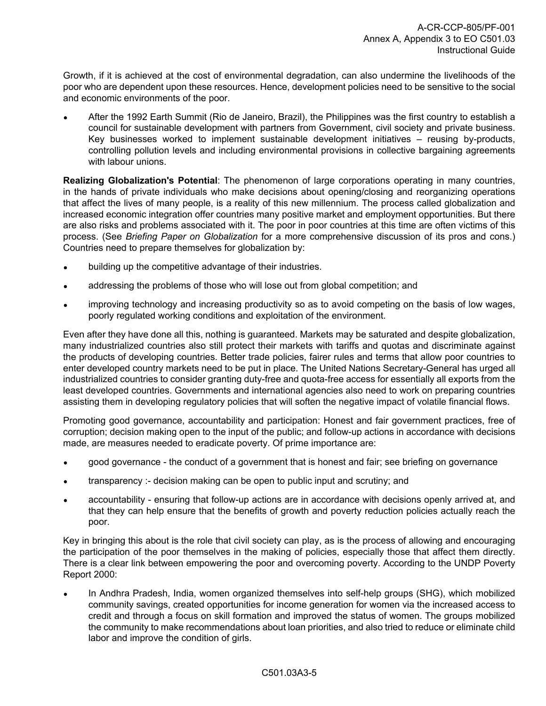Growth, if it is achieved at the cost of environmental degradation, can also undermine the livelihoods of the poor who are dependent upon these resources. Hence, development policies need to be sensitive to the social and economic environments of the poor.

After the 1992 Earth Summit (Rio de Janeiro, Brazil), the Philippines was the first country to establish a council for sustainable development with partners from Government, civil society and private business. Key businesses worked to implement sustainable development initiatives – reusing by-products, controlling pollution levels and including environmental provisions in collective bargaining agreements with labour unions.

**Realizing Globalization's Potential**: The phenomenon of large corporations operating in many countries, in the hands of private individuals who make decisions about opening/closing and reorganizing operations that affect the lives of many people, is a reality of this new millennium. The process called globalization and increased economic integration offer countries many positive market and employment opportunities. But there are also risks and problems associated with it. The poor in poor countries at this time are often victims of this process. (See *Briefing Paper on Globalization* for a more comprehensive discussion of its pros and cons.) Countries need to prepare themselves for globalization by:

- building up the competitive advantage of their industries.
- addressing the problems of those who will lose out from global competition; and
- improving technology and increasing productivity so as to avoid competing on the basis of low wages, poorly regulated working conditions and exploitation of the environment.

Even after they have done all this, nothing is guaranteed. Markets may be saturated and despite globalization, many industrialized countries also still protect their markets with tariffs and quotas and discriminate against the products of developing countries. Better trade policies, fairer rules and terms that allow poor countries to enter developed country markets need to be put in place. The United Nations Secretary-General has urged all industrialized countries to consider granting duty-free and quota-free access for essentially all exports from the least developed countries. Governments and international agencies also need to work on preparing countries assisting them in developing regulatory policies that will soften the negative impact of volatile financial flows.

Promoting good governance, accountability and participation: Honest and fair government practices, free of corruption; decision making open to the input of the public; and follow-up actions in accordance with decisions made, are measures needed to eradicate poverty. Of prime importance are:

- good governance the conduct of a government that is honest and fair; see briefing on governance
- transparency :- decision making can be open to public input and scrutiny; and
- accountability ensuring that follow-up actions are in accordance with decisions openly arrived at, and that they can help ensure that the benefits of growth and poverty reduction policies actually reach the poor.

Key in bringing this about is the role that civil society can play, as is the process of allowing and encouraging the participation of the poor themselves in the making of policies, especially those that affect them directly. There is a clear link between empowering the poor and overcoming poverty. According to the UNDP Poverty Report 2000:

In Andhra Pradesh, India, women organized themselves into self-help groups (SHG), which mobilized community savings, created opportunities for income generation for women via the increased access to credit and through a focus on skill formation and improved the status of women. The groups mobilized the community to make recommendations about loan priorities, and also tried to reduce or eliminate child labor and improve the condition of girls.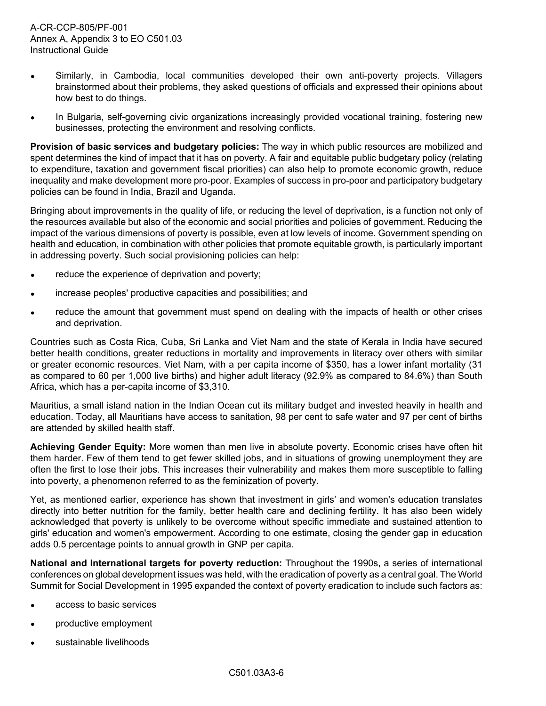#### A-CR-CCP-805/PF-001 Annex A, Appendix 3 to EO C501.03 Instructional Guide

- Similarly, in Cambodia, local communities developed their own anti-poverty projects. Villagers brainstormed about their problems, they asked questions of officials and expressed their opinions about how best to do things.
- In Bulgaria, self-governing civic organizations increasingly provided vocational training, fostering new  $\bullet$ businesses, protecting the environment and resolving conflicts.

**Provision of basic services and budgetary policies:** The way in which public resources are mobilized and spent determines the kind of impact that it has on poverty. A fair and equitable public budgetary policy (relating to expenditure, taxation and government fiscal priorities) can also help to promote economic growth, reduce inequality and make development more pro-poor. Examples of success in pro-poor and participatory budgetary policies can be found in India, Brazil and Uganda.

Bringing about improvements in the quality of life, or reducing the level of deprivation, is a function not only of the resources available but also of the economic and social priorities and policies of government. Reducing the impact of the various dimensions of poverty is possible, even at low levels of income. Government spending on health and education, in combination with other policies that promote equitable growth, is particularly important in addressing poverty. Such social provisioning policies can help:

- reduce the experience of deprivation and poverty;
- increase peoples' productive capacities and possibilities; and
- reduce the amount that government must spend on dealing with the impacts of health or other crises and deprivation.

Countries such as Costa Rica, Cuba, Sri Lanka and Viet Nam and the state of Kerala in India have secured better health conditions, greater reductions in mortality and improvements in literacy over others with similar or greater economic resources. Viet Nam, with a per capita income of \$350, has a lower infant mortality (31 as compared to 60 per 1,000 live births) and higher adult literacy (92.9% as compared to 84.6%) than South Africa, which has a per-capita income of \$3,310.

Mauritius, a small island nation in the Indian Ocean cut its military budget and invested heavily in health and education. Today, all Mauritians have access to sanitation, 98 per cent to safe water and 97 per cent of births are attended by skilled health staff.

**Achieving Gender Equity:** More women than men live in absolute poverty. Economic crises have often hit them harder. Few of them tend to get fewer skilled jobs, and in situations of growing unemployment they are often the first to lose their jobs. This increases their vulnerability and makes them more susceptible to falling into poverty, a phenomenon referred to as the feminization of poverty.

Yet, as mentioned earlier, experience has shown that investment in girls' and women's education translates directly into better nutrition for the family, better health care and declining fertility. It has also been widely acknowledged that poverty is unlikely to be overcome without specific immediate and sustained attention to girls' education and women's empowerment. According to one estimate, closing the gender gap in education adds 0.5 percentage points to annual growth in GNP per capita.

**National and International targets for poverty reduction:** Throughout the 1990s, a series of international conferences on global development issues was held, with the eradication of poverty as a central goal. The World Summit for Social Development in 1995 expanded the context of poverty eradication to include such factors as:

- access to basic services
- productive employment
- sustainable livelihoods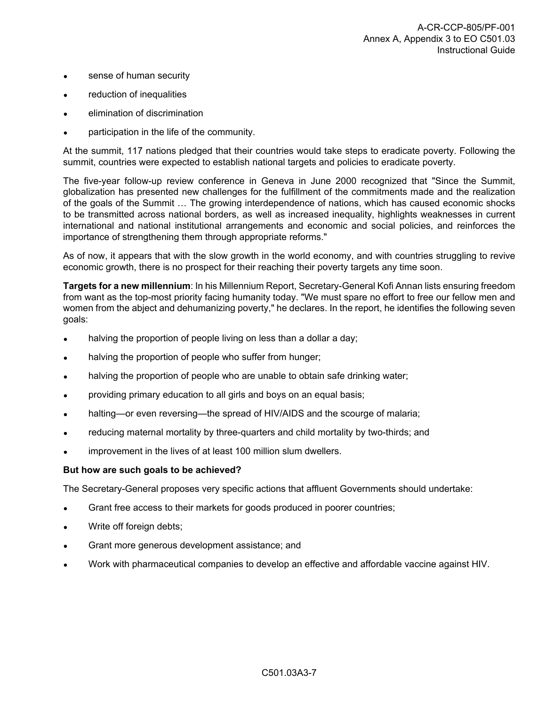- sense of human security  $\bullet$
- reduction of inequalities
- elimination of discrimination
- participation in the life of the community.

At the summit, 117 nations pledged that their countries would take steps to eradicate poverty. Following the summit, countries were expected to establish national targets and policies to eradicate poverty.

The five-year follow-up review conference in Geneva in June 2000 recognized that "Since the Summit, globalization has presented new challenges for the fulfillment of the commitments made and the realization of the goals of the Summit … The growing interdependence of nations, which has caused economic shocks to be transmitted across national borders, as well as increased inequality, highlights weaknesses in current international and national institutional arrangements and economic and social policies, and reinforces the importance of strengthening them through appropriate reforms."

As of now, it appears that with the slow growth in the world economy, and with countries struggling to revive economic growth, there is no prospect for their reaching their poverty targets any time soon.

**Targets for a new millennium**: In his Millennium Report, Secretary-General Kofi Annan lists ensuring freedom from want as the top-most priority facing humanity today. "We must spare no effort to free our fellow men and women from the abject and dehumanizing poverty," he declares. In the report, he identifies the following seven goals:

- halving the proportion of people living on less than a dollar a day;
- halving the proportion of people who suffer from hunger;
- halving the proportion of people who are unable to obtain safe drinking water;
- providing primary education to all girls and boys on an equal basis;
- halting—or even reversing—the spread of HIV/AIDS and the scourge of malaria;
- reducing maternal mortality by three-quarters and child mortality by two-thirds; and
- improvement in the lives of at least 100 million slum dwellers.

## **But how are such goals to be achieved?**

The Secretary-General proposes very specific actions that affluent Governments should undertake:

- Grant free access to their markets for goods produced in poorer countries;
- Write off foreign debts;
- Grant more generous development assistance; and
- Work with pharmaceutical companies to develop an effective and affordable vaccine against HIV.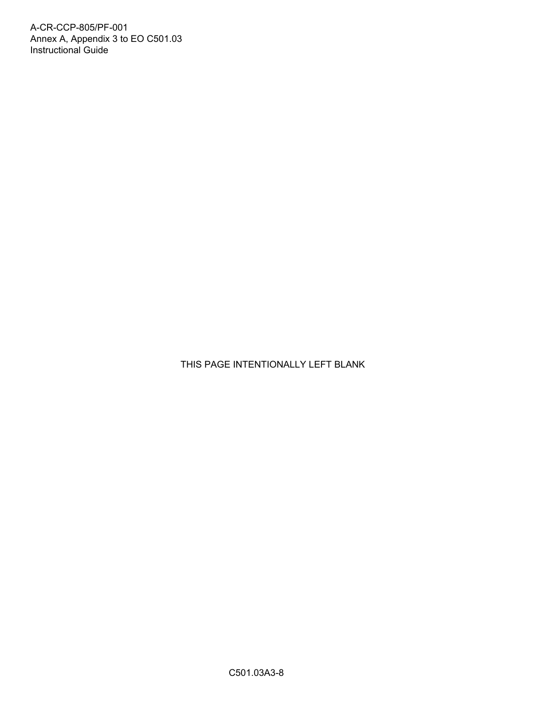A-CR-CCP-805/PF-001 Annex A, Appendix 3 to EO C501.03 Instructional Guide

THIS PAGE INTENTIONALLY LEFT BLANK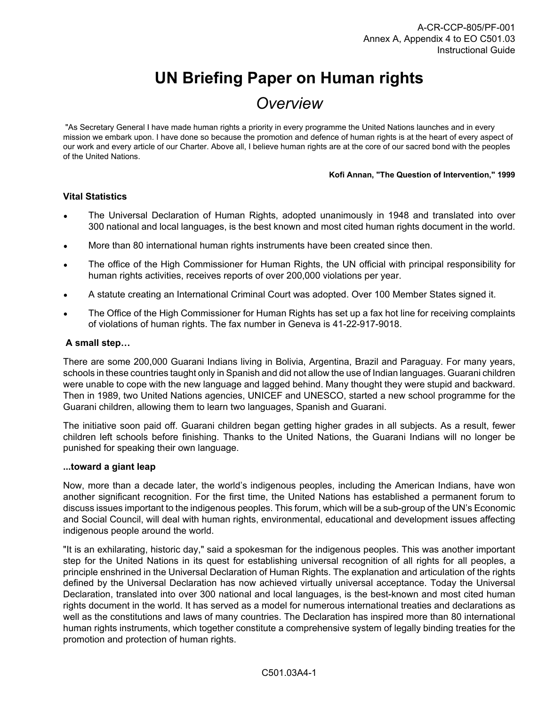# **UN Briefing Paper on Human rights**

# *Overview*

 "As Secretary General I have made human rights a priority in every programme the United Nations launches and in every mission we embark upon. I have done so because the promotion and defence of human rights is at the heart of every aspect of our work and every article of our Charter. Above all, I believe human rights are at the core of our sacred bond with the peoples of the United Nations.

#### **Kofi Annan, "The Question of Intervention," 1999**

## **Vital Statistics**

- The Universal Declaration of Human Rights, adopted unanimously in 1948 and translated into over 300 national and local languages, is the best known and most cited human rights document in the world.
- More than 80 international human rights instruments have been created since then.
- The office of the High Commissioner for Human Rights, the UN official with principal responsibility for human rights activities, receives reports of over 200,000 violations per year.
- A statute creating an International Criminal Court was adopted. Over 100 Member States signed it.
- The Office of the High Commissioner for Human Rights has set up a fax hot line for receiving complaints of violations of human rights. The fax number in Geneva is 41-22-917-9018.

#### **A small step…**

There are some 200,000 Guarani Indians living in Bolivia, Argentina, Brazil and Paraguay. For many years, schools in these countries taught only in Spanish and did not allow the use of Indian languages. Guarani children were unable to cope with the new language and lagged behind. Many thought they were stupid and backward. Then in 1989, two United Nations agencies, UNICEF and UNESCO, started a new school programme for the Guarani children, allowing them to learn two languages, Spanish and Guarani.

The initiative soon paid off. Guarani children began getting higher grades in all subjects. As a result, fewer children left schools before finishing. Thanks to the United Nations, the Guarani Indians will no longer be punished for speaking their own language.

#### **...toward a giant leap**

Now, more than a decade later, the world's indigenous peoples, including the American Indians, have won another significant recognition. For the first time, the United Nations has established a permanent forum to discuss issues important to the indigenous peoples. This forum, which will be a sub-group of the UN's Economic and Social Council, will deal with human rights, environmental, educational and development issues affecting indigenous people around the world.

"It is an exhilarating, historic day," said a spokesman for the indigenous peoples. This was another important step for the United Nations in its quest for establishing universal recognition of all rights for all peoples, a principle enshrined in the Universal Declaration of Human Rights. The explanation and articulation of the rights defined by the Universal Declaration has now achieved virtually universal acceptance. Today the Universal Declaration, translated into over 300 national and local languages, is the best-known and most cited human rights document in the world. It has served as a model for numerous international treaties and declarations as well as the constitutions and laws of many countries. The Declaration has inspired more than 80 international human rights instruments, which together constitute a comprehensive system of legally binding treaties for the promotion and protection of human rights.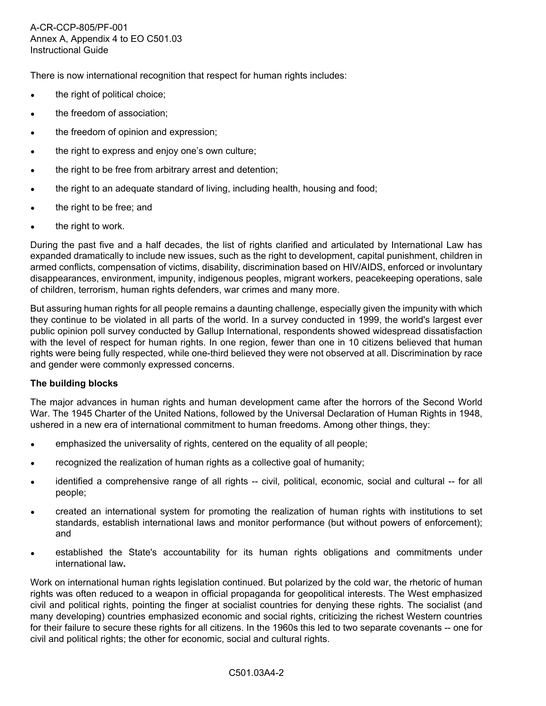There is now international recognition that respect for human rights includes:

- the right of political choice;
- the freedom of association;
- the freedom of opinion and expression;
- the right to express and enjoy one's own culture;
- the right to be free from arbitrary arrest and detention;
- the right to an adequate standard of living, including health, housing and food;
- the right to be free; and
- the right to work.

During the past five and a half decades, the list of rights clarified and articulated by International Law has expanded dramatically to include new issues, such as the right to development, capital punishment, children in armed conflicts, compensation of victims, disability, discrimination based on HIV/AIDS, enforced or involuntary disappearances, environment, impunity, indigenous peoples, migrant workers, peacekeeping operations, sale of children, terrorism, human rights defenders, war crimes and many more.

But assuring human rights for all people remains a daunting challenge, especially given the impunity with which they continue to be violated in all parts of the world. In a survey conducted in 1999, the world's largest ever public opinion poll survey conducted by Gallup International, respondents showed widespread dissatisfaction with the level of respect for human rights. In one region, fewer than one in 10 citizens believed that human rights were being fully respected, while one-third believed they were not observed at all. Discrimination by race and gender were commonly expressed concerns.

## **The building blocks**

The major advances in human rights and human development came after the horrors of the Second World War. The 1945 Charter of the United Nations, followed by the Universal Declaration of Human Rights in 1948, ushered in a new era of international commitment to human freedoms. Among other things, they:

- emphasized the universality of rights, centered on the equality of all people;
- recognized the realization of human rights as a collective goal of humanity;
- identified a comprehensive range of all rights -- civil, political, economic, social and cultural -- for all people;
- created an international system for promoting the realization of human rights with institutions to set  $\bullet$ standards, establish international laws and monitor performance (but without powers of enforcement); and
- established the State's accountability for its human rights obligations and commitments under  $\bullet$ international law**.**

Work on international human rights legislation continued. But polarized by the cold war, the rhetoric of human rights was often reduced to a weapon in official propaganda for geopolitical interests. The West emphasized civil and political rights, pointing the finger at socialist countries for denying these rights. The socialist (and many developing) countries emphasized economic and social rights, criticizing the richest Western countries for their failure to secure these rights for all citizens. In the 1960s this led to two separate covenants -- one for civil and political rights; the other for economic, social and cultural rights.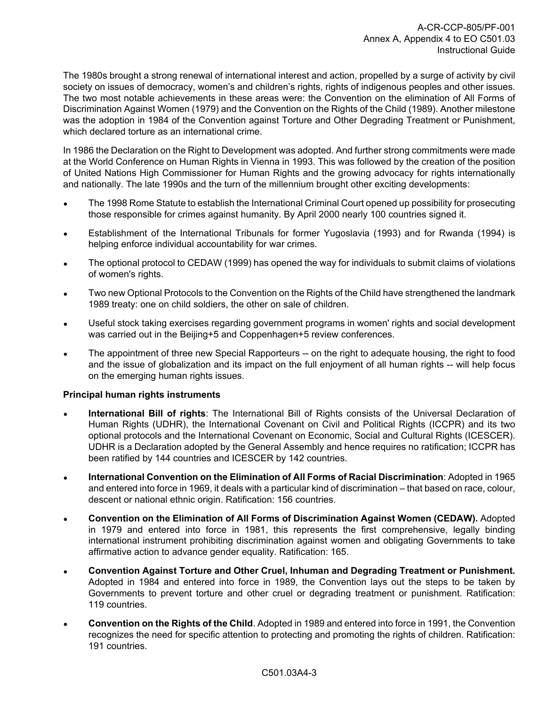The 1980s brought a strong renewal of international interest and action, propelled by a surge of activity by civil society on issues of democracy, women's and children's rights, rights of indigenous peoples and other issues. The two most notable achievements in these areas were: the Convention on the elimination of All Forms of Discrimination Against Women (1979) and the Convention on the Rights of the Child (1989). Another milestone was the adoption in 1984 of the Convention against Torture and Other Degrading Treatment or Punishment, which declared torture as an international crime.

In 1986 the Declaration on the Right to Development was adopted. And further strong commitments were made at the World Conference on Human Rights in Vienna in 1993. This was followed by the creation of the position of United Nations High Commissioner for Human Rights and the growing advocacy for rights internationally and nationally. The late 1990s and the turn of the millennium brought other exciting developments:

- The 1998 Rome Statute to establish the International Criminal Court opened up possibility for prosecuting those responsible for crimes against humanity. By April 2000 nearly 100 countries signed it.
- Establishment of the International Tribunals for former Yugoslavia (1993) and for Rwanda (1994) is helping enforce individual accountability for war crimes.
- The optional protocol to CEDAW (1999) has opened the way for individuals to submit claims of violations of women's rights.
- Two new Optional Protocols to the Convention on the Rights of the Child have strengthened the landmark 1989 treaty: one on child soldiers, the other on sale of children.
- Useful stock taking exercises regarding government programs in women' rights and social development was carried out in the Beijing+5 and Coppenhagen+5 review conferences.
- The appointment of three new Special Rapporteurs -- on the right to adequate housing, the right to food and the issue of globalization and its impact on the full enjoyment of all human rights -- will help focus on the emerging human rights issues.

## **Principal human rights instruments**

- **International Bill of rights**: The International Bill of Rights consists of the Universal Declaration of Human Rights (UDHR), the International Covenant on Civil and Political Rights (ICCPR) and its two optional protocols and the International Covenant on Economic, Social and Cultural Rights (ICESCER). UDHR is a Declaration adopted by the General Assembly and hence requires no ratification; ICCPR has been ratified by 144 countries and ICESCER by 142 countries.
- **International Convention on the Elimination of All Forms of Racial Discrimination**: Adopted in 1965 and entered into force in 1969, it deals with a particular kind of discrimination – that based on race, colour, descent or national ethnic origin. Ratification: 156 countries.
- **Convention on the Elimination of All Forms of Discrimination Against Women (CEDAW).** Adopted in 1979 and entered into force in 1981, this represents the first comprehensive, legally binding international instrument prohibiting discrimination against women and obligating Governments to take affirmative action to advance gender equality. Ratification: 165.
- **Convention Against Torture and Other Cruel, Inhuman and Degrading Treatment or Punishment.** Adopted in 1984 and entered into force in 1989, the Convention lays out the steps to be taken by Governments to prevent torture and other cruel or degrading treatment or punishment. Ratification: 119 countries.
- **Convention on the Rights of the Child**. Adopted in 1989 and entered into force in 1991, the Convention recognizes the need for specific attention to protecting and promoting the rights of children. Ratification: 191 countries.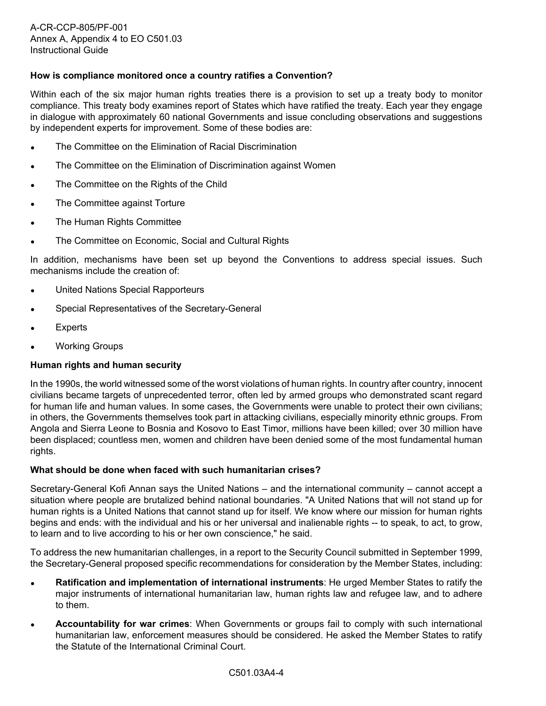# **How is compliance monitored once a country ratifies a Convention?**

Within each of the six major human rights treaties there is a provision to set up a treaty body to monitor compliance. This treaty body examines report of States which have ratified the treaty. Each year they engage in dialogue with approximately 60 national Governments and issue concluding observations and suggestions by independent experts for improvement. Some of these bodies are:

- The Committee on the Elimination of Racial Discrimination
- The Committee on the Elimination of Discrimination against Women  $\bullet$
- The Committee on the Rights of the Child  $\bullet$
- The Committee against Torture  $\bullet$
- The Human Rights Committee  $\bullet$
- The Committee on Economic, Social and Cultural Rights  $\bullet$

In addition, mechanisms have been set up beyond the Conventions to address special issues. Such mechanisms include the creation of:

- United Nations Special Rapporteurs  $\bullet$
- Special Representatives of the Secretary-General
- Experts  $\bullet$
- Working Groups

#### **Human rights and human security**

In the 1990s, the world witnessed some of the worst violations of human rights. In country after country, innocent civilians became targets of unprecedented terror, often led by armed groups who demonstrated scant regard for human life and human values. In some cases, the Governments were unable to protect their own civilians; in others, the Governments themselves took part in attacking civilians, especially minority ethnic groups. From Angola and Sierra Leone to Bosnia and Kosovo to East Timor, millions have been killed; over 30 million have been displaced; countless men, women and children have been denied some of the most fundamental human rights.

#### **What should be done when faced with such humanitarian crises?**

Secretary-General Kofi Annan says the United Nations – and the international community – cannot accept a situation where people are brutalized behind national boundaries. "A United Nations that will not stand up for human rights is a United Nations that cannot stand up for itself. We know where our mission for human rights begins and ends: with the individual and his or her universal and inalienable rights -- to speak, to act, to grow, to learn and to live according to his or her own conscience," he said.

To address the new humanitarian challenges, in a report to the Security Council submitted in September 1999, the Secretary-General proposed specific recommendations for consideration by the Member States, including:

- **Ratification and implementation of international instruments**: He urged Member States to ratify the  $\bullet$ major instruments of international humanitarian law, human rights law and refugee law, and to adhere to them.
- **Accountability for war crimes**: When Governments or groups fail to comply with such international  $\bullet$ humanitarian law, enforcement measures should be considered. He asked the Member States to ratify the Statute of the International Criminal Court.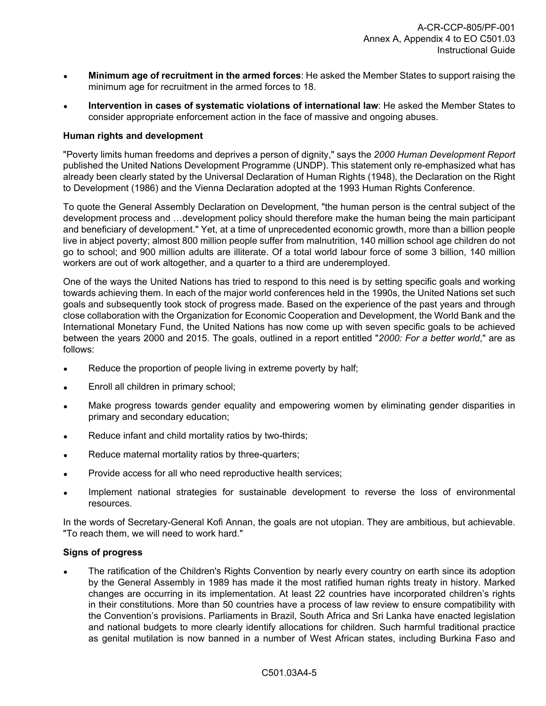- **Minimum age of recruitment in the armed forces**: He asked the Member States to support raising the minimum age for recruitment in the armed forces to 18.
- **Intervention in cases of systematic violations of international law**: He asked the Member States to consider appropriate enforcement action in the face of massive and ongoing abuses.

#### **Human rights and development**

"Poverty limits human freedoms and deprives a person of dignity," says the *2000 Human Development Report* published the United Nations Development Programme (UNDP). This statement only re-emphasized what has already been clearly stated by the Universal Declaration of Human Rights (1948), the Declaration on the Right to Development (1986) and the Vienna Declaration adopted at the 1993 Human Rights Conference.

To quote the General Assembly Declaration on Development, "the human person is the central subject of the development process and …development policy should therefore make the human being the main participant and beneficiary of development." Yet, at a time of unprecedented economic growth, more than a billion people live in abject poverty; almost 800 million people suffer from malnutrition, 140 million school age children do not go to school; and 900 million adults are illiterate. Of a total world labour force of some 3 billion, 140 million workers are out of work altogether, and a quarter to a third are underemployed.

One of the ways the United Nations has tried to respond to this need is by setting specific goals and working towards achieving them. In each of the major world conferences held in the 1990s, the United Nations set such goals and subsequently took stock of progress made. Based on the experience of the past years and through close collaboration with the Organization for Economic Cooperation and Development, the World Bank and the International Monetary Fund, the United Nations has now come up with seven specific goals to be achieved between the years 2000 and 2015. The goals, outlined in a report entitled "*2000: For a better world*," are as follows:

- Reduce the proportion of people living in extreme poverty by half;
- Enroll all children in primary school;
- Make progress towards gender equality and empowering women by eliminating gender disparities in primary and secondary education;
- Reduce infant and child mortality ratios by two-thirds;  $\bullet$
- Reduce maternal mortality ratios by three-quarters;
- Provide access for all who need reproductive health services;
- Implement national strategies for sustainable development to reverse the loss of environmental resources.

In the words of Secretary-General Kofi Annan, the goals are not utopian. They are ambitious, but achievable. "To reach them, we will need to work hard."

## **Signs of progress**

The ratification of the Children's Rights Convention by nearly every country on earth since its adoption by the General Assembly in 1989 has made it the most ratified human rights treaty in history. Marked changes are occurring in its implementation. At least 22 countries have incorporated children's rights in their constitutions. More than 50 countries have a process of law review to ensure compatibility with the Convention's provisions. Parliaments in Brazil, South Africa and Sri Lanka have enacted legislation and national budgets to more clearly identify allocations for children. Such harmful traditional practice as genital mutilation is now banned in a number of West African states, including Burkina Faso and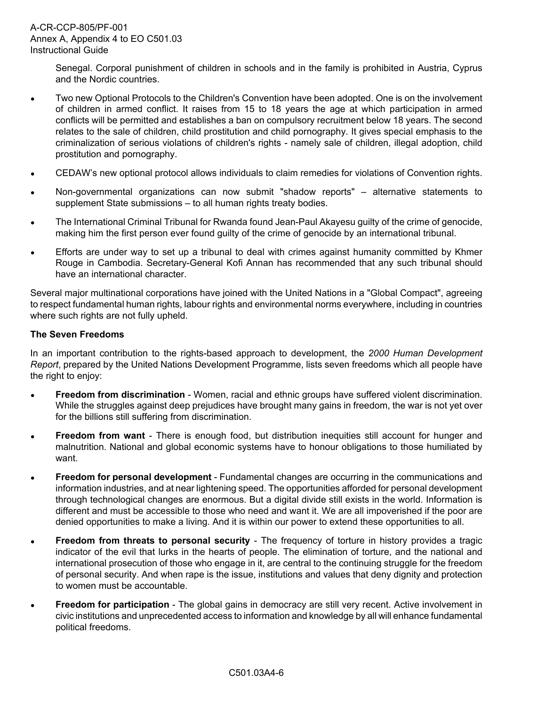Senegal. Corporal punishment of children in schools and in the family is prohibited in Austria, Cyprus and the Nordic countries.

- Two new Optional Protocols to the Children's Convention have been adopted. One is on the involvement  $\bullet$ of children in armed conflict. It raises from 15 to 18 years the age at which participation in armed conflicts will be permitted and establishes a ban on compulsory recruitment below 18 years. The second relates to the sale of children, child prostitution and child pornography. It gives special emphasis to the criminalization of serious violations of children's rights - namely sale of children, illegal adoption, child prostitution and pornography.
- CEDAW's new optional protocol allows individuals to claim remedies for violations of Convention rights.
- Non-governmental organizations can now submit "shadow reports" alternative statements to supplement State submissions – to all human rights treaty bodies.
- The International Criminal Tribunal for Rwanda found Jean-Paul Akayesu guilty of the crime of genocide,  $\bullet$ making him the first person ever found guilty of the crime of genocide by an international tribunal.
- Efforts are under way to set up a tribunal to deal with crimes against humanity committed by Khmer  $\bullet$ Rouge in Cambodia. Secretary-General Kofi Annan has recommended that any such tribunal should have an international character.

Several major multinational corporations have joined with the United Nations in a "Global Compact", agreeing to respect fundamental human rights, labour rights and environmental norms everywhere, including in countries where such rights are not fully upheld.

#### **The Seven Freedoms**

In an important contribution to the rights-based approach to development, the *2000 Human Development Report*, prepared by the United Nations Development Programme, lists seven freedoms which all people have the right to enjoy:

- **Freedom from discrimination**  Women, racial and ethnic groups have suffered violent discrimination.  $\bullet$ While the struggles against deep prejudices have brought many gains in freedom, the war is not yet over for the billions still suffering from discrimination.
- **Freedom from want**  There is enough food, but distribution inequities still account for hunger and  $\bullet$ malnutrition. National and global economic systems have to honour obligations to those humiliated by want.
- **Freedom for personal development**  Fundamental changes are occurring in the communications and  $\bullet$ information industries, and at near lightening speed. The opportunities afforded for personal development through technological changes are enormous. But a digital divide still exists in the world. Information is different and must be accessible to those who need and want it. We are all impoverished if the poor are denied opportunities to make a living. And it is within our power to extend these opportunities to all.
- **Freedom from threats to personal security**  The frequency of torture in history provides a tragic  $\bullet$ indicator of the evil that lurks in the hearts of people. The elimination of torture, and the national and international prosecution of those who engage in it, are central to the continuing struggle for the freedom of personal security. And when rape is the issue, institutions and values that deny dignity and protection to women must be accountable.
- **Freedom for participation**  The global gains in democracy are still very recent. Active involvement in  $\bullet$ civic institutions and unprecedented access to information and knowledge by all will enhance fundamental political freedoms.